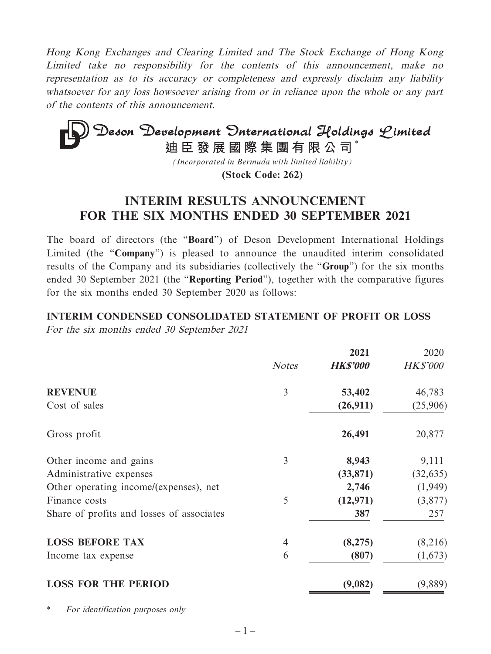Hong Kong Exchanges and Clearing Limited and The Stock Exchange of Hong Kong Limited take no responsibility for the contents of this announcement, make no representation as to its accuracy or completeness and expressly disclaim any liability whatsoever for any loss howsoever arising from or in reliance upon the whole or any part of the contents of this announcement.

# **Deson Development Onternational Holdings Limited**<br>迪臣發展國際集團有限公司<sup>\*</sup>

*(Incorporated in Bermuda with limited liability)*

**(Stock Code: 262)**

# **INTERIM RESULTS ANNOUNCEMENT FOR THE SIX MONTHS ENDED 30 SEPTEMBER 2021**

The board of directors (the "**Board**") of Deson Development International Holdings Limited (the "**Company**") is pleased to announce the unaudited interim consolidated results of the Company and its subsidiaries (collectively the "**Group**") for the six months ended 30 September 2021 (the "**Reporting Period**"), together with the comparative figures for the six months ended 30 September 2020 as follows:

## **INTERIM CONDENSED CONSOLIDATED STATEMENT OF PROFIT OR LOSS** For the six months ended 30 September 2021

|                                           |                | 2021            | 2020            |
|-------------------------------------------|----------------|-----------------|-----------------|
|                                           | <b>Notes</b>   | <b>HK\$'000</b> | <b>HK\$'000</b> |
| <b>REVENUE</b>                            | 3              | 53,402          | 46,783          |
| Cost of sales                             |                | (26,911)        | (25,906)        |
| Gross profit                              |                | 26,491          | 20,877          |
| Other income and gains                    | 3              | 8,943           | 9,111           |
| Administrative expenses                   |                | (33, 871)       | (32, 635)       |
| Other operating income/(expenses), net    |                | 2,746           | (1,949)         |
| Finance costs                             | 5              | (12, 971)       | (3,877)         |
| Share of profits and losses of associates |                | 387             | 257             |
| <b>LOSS BEFORE TAX</b>                    | $\overline{4}$ | (8,275)         | (8,216)         |
| Income tax expense                        | 6              | (807)           | (1,673)         |
| <b>LOSS FOR THE PERIOD</b>                |                | (9,082)         | (9,889)         |

\* For identification purposes only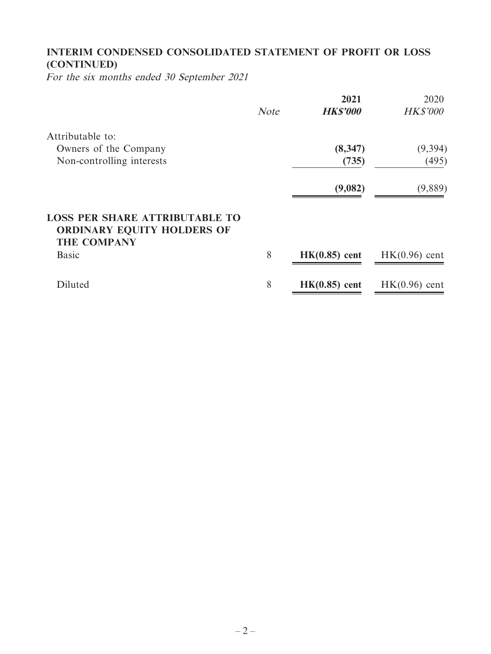## **INTERIM CONDENSED CONSOLIDATED STATEMENT OF PROFIT OR LOSS (CONTINUED)**

For the six months ended 30 September 2021

|                                                                                                  |             | 2021            | 2020            |
|--------------------------------------------------------------------------------------------------|-------------|-----------------|-----------------|
|                                                                                                  | <b>Note</b> | <b>HK\$'000</b> | <b>HK\$'000</b> |
| Attributable to:                                                                                 |             |                 |                 |
| Owners of the Company                                                                            |             | (8, 347)        | (9, 394)        |
| Non-controlling interests                                                                        |             | (735)           | (495)           |
|                                                                                                  |             | (9,082)         | (9,889)         |
| <b>LOSS PER SHARE ATTRIBUTABLE TO</b><br><b>ORDINARY EQUITY HOLDERS OF</b><br><b>THE COMPANY</b> |             |                 |                 |
| <b>Basic</b>                                                                                     | 8           | $HK(0.85)$ cent | $HK(0.96)$ cent |
| Diluted                                                                                          | 8           | $HK(0.85)$ cent | $HK(0.96)$ cent |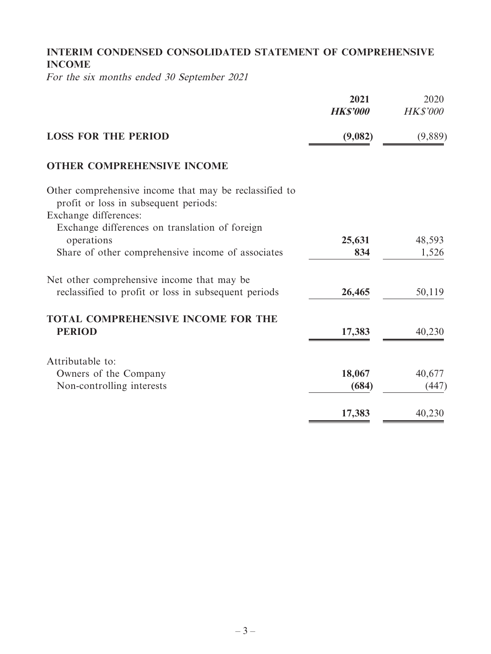## **INTERIM CONDENSED CONSOLIDATED STATEMENT OF COMPREHENSIVE INCOME**

For the six months ended 30 September 2021

|                                                                                                                          | 2021<br><b>HK\$'000</b> | 2020<br><b>HK\$'000</b> |
|--------------------------------------------------------------------------------------------------------------------------|-------------------------|-------------------------|
| <b>LOSS FOR THE PERIOD</b>                                                                                               | (9,082)                 | (9,889)                 |
| <b>OTHER COMPREHENSIVE INCOME</b>                                                                                        |                         |                         |
| Other comprehensive income that may be reclassified to<br>profit or loss in subsequent periods:<br>Exchange differences: |                         |                         |
| Exchange differences on translation of foreign<br>operations                                                             | 25,631                  | 48,593                  |
| Share of other comprehensive income of associates                                                                        | 834                     | 1,526                   |
| Net other comprehensive income that may be                                                                               |                         |                         |
| reclassified to profit or loss in subsequent periods                                                                     | 26,465                  | 50,119                  |
| <b>TOTAL COMPREHENSIVE INCOME FOR THE</b><br><b>PERIOD</b>                                                               | 17,383                  | 40,230                  |
| Attributable to:                                                                                                         |                         |                         |
| Owners of the Company                                                                                                    | 18,067                  | 40,677                  |
| Non-controlling interests                                                                                                | (684)                   | (447)                   |
|                                                                                                                          | 17,383                  | 40,230                  |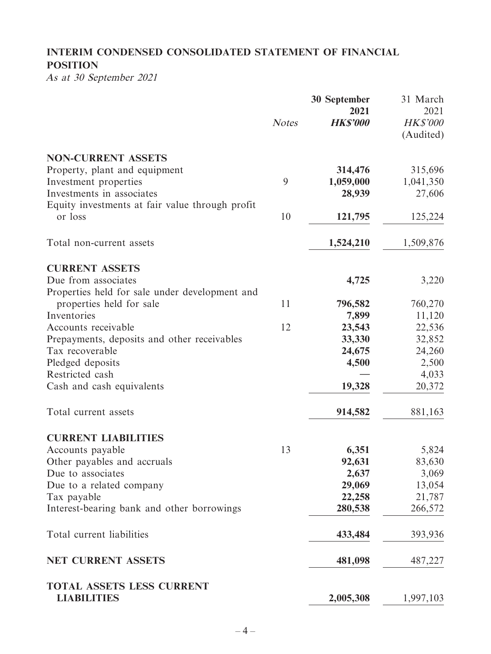# **INTERIM CONDENSED CONSOLIDATED STATEMENT OF FINANCIAL POSITION**

As at 30 September 2021

|                                                                              | <b>Notes</b> | <b>30 September</b><br>2021<br><b>HK\$'000</b> | 31 March<br>2021<br><b>HK\$'000</b><br>(Audited) |
|------------------------------------------------------------------------------|--------------|------------------------------------------------|--------------------------------------------------|
| <b>NON-CURRENT ASSETS</b>                                                    |              |                                                |                                                  |
| Property, plant and equipment                                                |              | 314,476                                        | 315,696                                          |
| Investment properties                                                        | 9            | 1,059,000                                      | 1,041,350                                        |
| Investments in associates<br>Equity investments at fair value through profit |              | 28,939                                         | 27,606                                           |
| or loss                                                                      | 10           | 121,795                                        | 125,224                                          |
| Total non-current assets                                                     |              | 1,524,210                                      | 1,509,876                                        |
| <b>CURRENT ASSETS</b>                                                        |              |                                                |                                                  |
| Due from associates                                                          |              | 4,725                                          | 3,220                                            |
| Properties held for sale under development and                               |              |                                                |                                                  |
| properties held for sale                                                     | 11           | 796,582                                        | 760,270                                          |
| Inventories                                                                  |              | 7,899                                          | 11,120                                           |
| Accounts receivable                                                          | 12           | 23,543                                         | 22,536                                           |
| Prepayments, deposits and other receivables<br>Tax recoverable               |              | 33,330                                         | 32,852                                           |
| Pledged deposits                                                             |              | 24,675<br>4,500                                | 24,260<br>2,500                                  |
| Restricted cash                                                              |              |                                                | 4,033                                            |
| Cash and cash equivalents                                                    |              | 19,328                                         | 20,372                                           |
| Total current assets                                                         |              | 914,582                                        | 881,163                                          |
| <b>CURRENT LIABILITIES</b>                                                   |              |                                                |                                                  |
| Accounts payable                                                             | 13           | 6,351                                          | 5,824                                            |
| Other payables and accruals                                                  |              | 92,631                                         | 83,630                                           |
| Due to associates                                                            |              | 2,637                                          | 3,069                                            |
| Due to a related company                                                     |              | 29,069                                         | 13,054                                           |
| Tax payable                                                                  |              | 22,258                                         | 21,787                                           |
| Interest-bearing bank and other borrowings                                   |              | 280,538                                        | 266,572                                          |
| Total current liabilities                                                    |              | 433,484                                        | 393,936                                          |
| <b>NET CURRENT ASSETS</b>                                                    |              | 481,098                                        | 487,227                                          |
| TOTAL ASSETS LESS CURRENT<br><b>LIABILITIES</b>                              |              | 2,005,308                                      | 1,997,103                                        |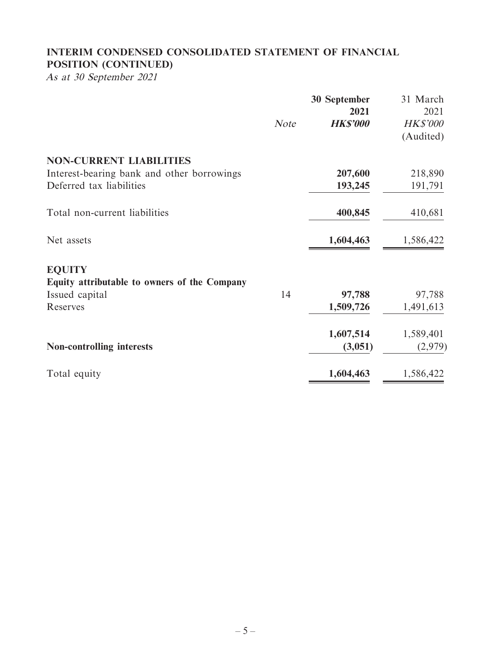## **INTERIM CONDENSED CONSOLIDATED STATEMENT OF FINANCIAL POSITION (CONTINUED)**

As at 30 September 2021

|                                              | <b>Note</b> | 30 September<br>2021<br><b>HK\$'000</b> | 31 March<br>2021<br><b>HK\$'000</b><br>(Audited) |
|----------------------------------------------|-------------|-----------------------------------------|--------------------------------------------------|
| <b>NON-CURRENT LIABILITIES</b>               |             |                                         |                                                  |
| Interest-bearing bank and other borrowings   |             | 207,600                                 | 218,890                                          |
| Deferred tax liabilities                     |             | 193,245                                 | 191,791                                          |
| Total non-current liabilities                |             | 400,845                                 | 410,681                                          |
| Net assets                                   |             | 1,604,463                               | 1,586,422                                        |
| <b>EQUITY</b>                                |             |                                         |                                                  |
| Equity attributable to owners of the Company |             |                                         |                                                  |
| Issued capital                               | 14          | 97,788                                  | 97,788                                           |
| Reserves                                     |             | 1,509,726                               | 1,491,613                                        |
|                                              |             | 1,607,514                               | 1,589,401                                        |
| <b>Non-controlling interests</b>             |             | (3,051)                                 | (2,979)                                          |
| Total equity                                 |             | 1,604,463                               | 1,586,422                                        |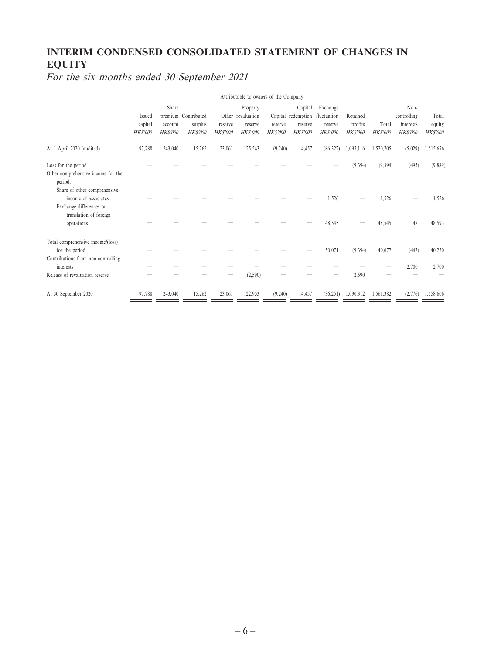## **INTERIM CONDENSED CONSOLIDATED STATEMENT OF CHANGES IN EQUITY**

For the six months ended 30 September 2021

|                                         | Attributable to owners of the Company |                           |                           |                           |                           |                           |                           |                           |                            |                          |                             |                           |
|-----------------------------------------|---------------------------------------|---------------------------|---------------------------|---------------------------|---------------------------|---------------------------|---------------------------|---------------------------|----------------------------|--------------------------|-----------------------------|---------------------------|
|                                         |                                       | Share                     |                           |                           | Property                  |                           | Capital                   | Exchange                  |                            |                          | Non-                        |                           |
|                                         | Issued                                |                           | premium Contributed       |                           | Other revaluation         |                           | Capital redemption        | fluctuation               | Retained                   |                          | controlling                 | Total                     |
|                                         | capital<br><b>HKS'000</b>             | account<br><b>HKS'000</b> | surplus<br><b>HKS'000</b> | reserve<br><b>HKS'000</b> | reserve<br><b>HKS'000</b> | reserve<br><b>HKS'000</b> | reserve<br><b>HKS'000</b> | reserve<br><b>HKS'000</b> | profits<br><b>HK\$'000</b> | Total<br><b>HK\$'000</b> | interests<br><b>HKS'000</b> | equity<br><b>HK\$'000</b> |
|                                         |                                       |                           |                           |                           |                           |                           |                           |                           |                            |                          |                             |                           |
| At 1 April 2020 (audited)               | 97,788                                | 243,040                   | 15,262                    | 23,061                    | 125,543                   | (9,240)                   | 14,457                    | (86,322)                  | 1,097,116                  | 1,520,705                | (5,029)                     | 1,515,676                 |
| Loss for the period                     |                                       |                           |                           |                           |                           |                           |                           |                           | (9, 394)                   | (9, 394)                 | (495)                       | (9,889)                   |
| Other comprehensive income for the      |                                       |                           |                           |                           |                           |                           |                           |                           |                            |                          |                             |                           |
| period:<br>Share of other comprehensive |                                       |                           |                           |                           |                           |                           |                           |                           |                            |                          |                             |                           |
| income of associates                    |                                       |                           |                           |                           |                           |                           |                           | 1,526                     |                            | 1,526                    |                             | 1,526                     |
| Exchange differences on                 |                                       |                           |                           |                           |                           |                           |                           |                           |                            |                          |                             |                           |
| translation of foreign                  |                                       |                           |                           |                           |                           |                           |                           |                           |                            |                          |                             |                           |
| operations                              |                                       |                           |                           |                           |                           |                           |                           | 48,545                    |                            | 48,545                   | 48                          | 48,593                    |
| Total comprehensive income/(loss)       |                                       |                           |                           |                           |                           |                           |                           |                           |                            |                          |                             |                           |
| for the period                          |                                       |                           |                           |                           |                           |                           |                           | 50,071                    | (9,394)                    | 40,677                   | (447)                       | 40,230                    |
| Contributions from non-controlling      |                                       |                           |                           |                           |                           |                           |                           |                           |                            |                          |                             |                           |
| interests                               |                                       |                           |                           |                           |                           |                           |                           |                           |                            |                          | 2,700                       | 2,700                     |
| Release of revaluation reserve          |                                       |                           |                           |                           | (2, 590)                  |                           |                           |                           | 2,590                      |                          |                             |                           |
| At 30 September 2020                    | 97,788                                | 243,040                   | 15,262                    | 23,061                    | 122,953                   | (9,240)                   | 14,457                    | (36,251)                  | 1,090,312                  | 1,561,382                | (2,776)                     | 1,558,606                 |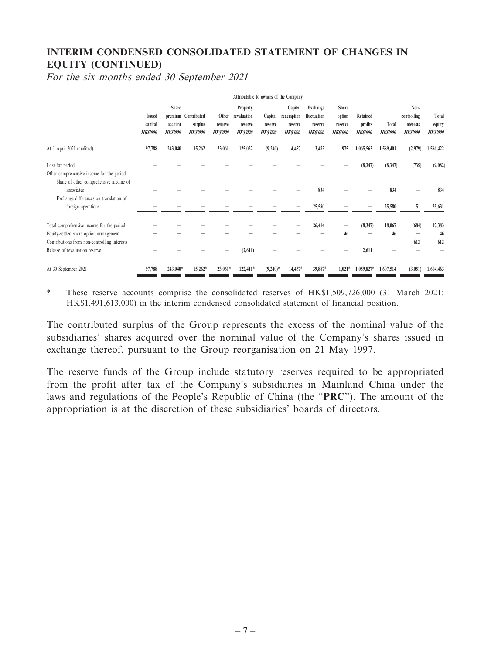## **INTERIM CONDENSED CONSOLIDATED STATEMENT OF CHANGES IN EQUITY (CONTINUED)**

For the six months ended 30 September 2021

|                                                                                                         | Attributable to owners of the Company      |                                    |                                                  |                                    |                                                      |                                      |                                                    |                                                      |                                              |                                       |                         |                                                           |                                   |
|---------------------------------------------------------------------------------------------------------|--------------------------------------------|------------------------------------|--------------------------------------------------|------------------------------------|------------------------------------------------------|--------------------------------------|----------------------------------------------------|------------------------------------------------------|----------------------------------------------|---------------------------------------|-------------------------|-----------------------------------------------------------|-----------------------------------|
|                                                                                                         | <b>Issued</b><br>capital<br><b>HKS'000</b> | Share<br>account<br><b>HKS'000</b> | premium Contributed<br>surplus<br><b>HKS'000</b> | Other<br>reserve<br><b>HKS'000</b> | Property<br>revaluation<br>reserve<br><b>HKS'000</b> | Capital<br>reserve<br><b>HKS'000</b> | Capital<br>redemption<br>reserve<br><b>HKS'000</b> | Exchange<br>fluctuation<br>reserve<br><b>HKS'000</b> | Share<br>option<br>reserve<br><b>HKS'000</b> | Retained<br>profits<br><b>HKS'000</b> | Total<br><b>HKS'000</b> | Non-<br>controlling<br><b>interests</b><br><b>HKS'000</b> | Total<br>equity<br><b>HKS'000</b> |
| At 1 April 2021 (audited)                                                                               | 97,788                                     | 243,040                            | 15,262                                           | 23,061                             | 125,022                                              | (9,240)                              | 14,457                                             | 13,473                                               | 975                                          | 1,065,563                             | 1,589,401               | (2,979)                                                   | 1,586,422                         |
| Loss for period<br>Other comprehensive income for the period:<br>Share of other comprehensive income of |                                            |                                    |                                                  |                                    |                                                      |                                      |                                                    |                                                      |                                              | (8, 347)                              | (8, 347)                | (735)                                                     | (9,082)                           |
| associates<br>Exchange differences on translation of                                                    |                                            |                                    |                                                  |                                    |                                                      |                                      |                                                    | 834                                                  |                                              |                                       | 834                     |                                                           | 834                               |
| foreign operations                                                                                      |                                            |                                    |                                                  |                                    |                                                      |                                      |                                                    | 25,580                                               |                                              |                                       | 25,580                  | 51                                                        | 25,631                            |
| Total comprehensive income for the period                                                               |                                            |                                    |                                                  |                                    |                                                      |                                      |                                                    | 26,414                                               |                                              | (8,347)                               | 18,067                  | (684)                                                     | 17,383                            |
| Equity-settled share option arrangement                                                                 |                                            |                                    |                                                  |                                    |                                                      |                                      |                                                    |                                                      | 46                                           |                                       | 46                      | $\overline{\phantom{m}}$                                  | 46                                |
| Contributions from non-controlling interests<br>Release of revaluation reserve                          |                                            |                                    |                                                  |                                    | (2,611)                                              |                                      |                                                    |                                                      |                                              | 2,611                                 |                         | 612                                                       | 612                               |
| At 30 September 2021                                                                                    | 97,788                                     | 243,040*                           | 15,262*                                          | 23,061*                            | 122,411*                                             | $(9,240)^*$                          | 14,457*                                            | 39,887*                                              | $1,021*$                                     | 1,059,827*                            | 1,607,514               | (3,051)                                                   | 1,604,463                         |

\* These reserve accounts comprise the consolidated reserves of HK\$1,509,726,000 (31 March 2021: HK\$1,491,613,000) in the interim condensed consolidated statement of financial position.

The contributed surplus of the Group represents the excess of the nominal value of the subsidiaries' shares acquired over the nominal value of the Company's shares issued in exchange thereof, pursuant to the Group reorganisation on 21 May 1997.

The reserve funds of the Group include statutory reserves required to be appropriated from the profit after tax of the Company's subsidiaries in Mainland China under the laws and regulations of the People's Republic of China (the "**PRC**"). The amount of the appropriation is at the discretion of these subsidiaries' boards of directors.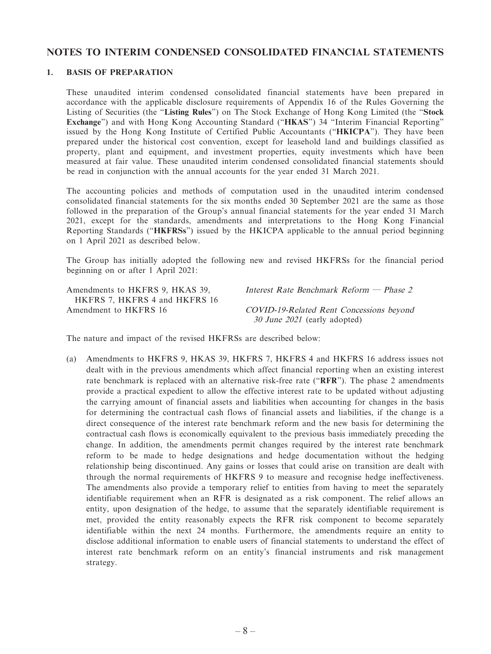#### **NOTES TO INTERIM CONDENSED CONSOLIDATED FINANCIAL STATEMENTS**

#### **1. BASIS OF PREPARATION**

These unaudited interim condensed consolidated financial statements have been prepared in accordance with the applicable disclosure requirements of Appendix 16 of the Rules Governing the Listing of Securities (the "**Listing Rules**") on The Stock Exchange of Hong Kong Limited (the "**Stock Exchange**") and with Hong Kong Accounting Standard ("**HKAS**") 34 "Interim Financial Reporting" issued by the Hong Kong Institute of Certified Public Accountants ("**HKICPA**"). They have been prepared under the historical cost convention, except for leasehold land and buildings classified as property, plant and equipment, and investment properties, equity investments which have been measured at fair value. These unaudited interim condensed consolidated financial statements should be read in conjunction with the annual accounts for the year ended 31 March 2021.

The accounting policies and methods of computation used in the unaudited interim condensed consolidated financial statements for the six months ended 30 September 2021 are the same as those followed in the preparation of the Group's annual financial statements for the year ended 31 March 2021, except for the standards, amendments and interpretations to the Hong Kong Financial Reporting Standards ("**HKFRSs**") issued by the HKICPA applicable to the annual period beginning on 1 April 2021 as described below.

The Group has initially adopted the following new and revised HKFRSs for the financial period beginning on or after 1 April 2021:

Amendments to HKFRS 9, HKAS 39, HKFRS 7, HKFRS 4 and HKFRS 16 Amendment to HKFRS 16 COVID-19-Related Rent Concessions beyond

Interest Rate Benchmark Reform — Phase 2

30 June 2021 (early adopted)

The nature and impact of the revised HKFRSs are described below:

(a) Amendments to HKFRS 9, HKAS 39, HKFRS 7, HKFRS 4 and HKFRS 16 address issues not dealt with in the previous amendments which affect financial reporting when an existing interest rate benchmark is replaced with an alternative risk-free rate ("**RFR**"). The phase 2 amendments provide a practical expedient to allow the effective interest rate to be updated without adjusting the carrying amount of financial assets and liabilities when accounting for changes in the basis for determining the contractual cash flows of financial assets and liabilities, if the change is a direct consequence of the interest rate benchmark reform and the new basis for determining the contractual cash flows is economically equivalent to the previous basis immediately preceding the change. In addition, the amendments permit changes required by the interest rate benchmark reform to be made to hedge designations and hedge documentation without the hedging relationship being discontinued. Any gains or losses that could arise on transition are dealt with through the normal requirements of HKFRS 9 to measure and recognise hedge ineffectiveness. The amendments also provide a temporary relief to entities from having to meet the separately identifiable requirement when an RFR is designated as a risk component. The relief allows an entity, upon designation of the hedge, to assume that the separately identifiable requirement is met, provided the entity reasonably expects the RFR risk component to become separately identifiable within the next 24 months. Furthermore, the amendments require an entity to disclose additional information to enable users of financial statements to understand the effect of interest rate benchmark reform on an entity's financial instruments and risk management strategy.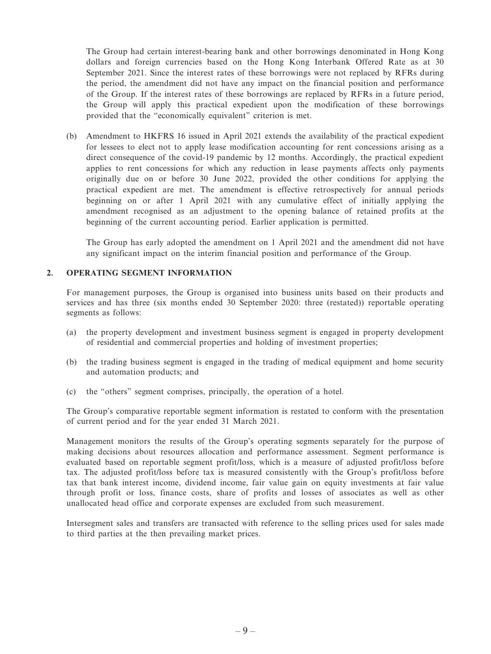The Group had certain interest-bearing bank and other borrowings denominated in Hong Kong dollars and foreign currencies based on the Hong Kong Interbank Offered Rate as at 30 September 2021. Since the interest rates of these borrowings were not replaced by RFRs during the period, the amendment did not have any impact on the financial position and performance of the Group. If the interest rates of these borrowings are replaced by RFRs in a future period, the Group will apply this practical expedient upon the modification of these borrowings provided that the "economically equivalent" criterion is met.

(b) Amendment to HKFRS 16 issued in April 2021 extends the availability of the practical expedient for lessees to elect not to apply lease modification accounting for rent concessions arising as a direct consequence of the covid-19 pandemic by 12 months. Accordingly, the practical expedient applies to rent concessions for which any reduction in lease payments affects only payments originally due on or before 30 June 2022, provided the other conditions for applying the practical expedient are met. The amendment is effective retrospectively for annual periods beginning on or after 1 April 2021 with any cumulative effect of initially applying the amendment recognised as an adjustment to the opening balance of retained profits at the beginning of the current accounting period. Earlier application is permitted.

The Group has early adopted the amendment on 1 April 2021 and the amendment did not have any significant impact on the interim financial position and performance of the Group.

#### **2. OPERATING SEGMENT INFORMATION**

For management purposes, the Group is organised into business units based on their products and services and has three (six months ended 30 September 2020: three (restated)) reportable operating segments as follows:

- (a) the property development and investment business segment is engaged in property development of residential and commercial properties and holding of investment properties;
- (b) the trading business segment is engaged in the trading of medical equipment and home security and automation products; and
- (c) the "others" segment comprises, principally, the operation of a hotel.

The Group's comparative reportable segment information is restated to conform with the presentation of current period and for the year ended 31 March 2021.

Management monitors the results of the Group's operating segments separately for the purpose of making decisions about resources allocation and performance assessment. Segment performance is evaluated based on reportable segment profit/loss, which is a measure of adjusted profit/loss before tax. The adjusted profit/loss before tax is measured consistently with the Group's profit/loss before tax that bank interest income, dividend income, fair value gain on equity investments at fair value through profit or loss, finance costs, share of profits and losses of associates as well as other unallocated head office and corporate expenses are excluded from such measurement.

Intersegment sales and transfers are transacted with reference to the selling prices used for sales made to third parties at the then prevailing market prices.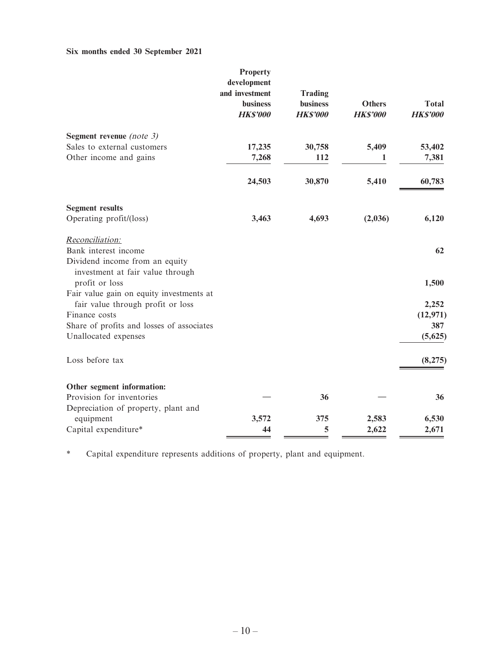## **Six months ended 30 September 2021**

|                                                                                            | <b>Property</b><br>development<br>and investment<br><b>business</b><br><b>HK\$'000</b> | <b>Trading</b><br><b>business</b><br><b>HKS'000</b> | <b>Others</b><br><b>HK\$'000</b> | <b>Total</b><br><b>HKS'000</b> |
|--------------------------------------------------------------------------------------------|----------------------------------------------------------------------------------------|-----------------------------------------------------|----------------------------------|--------------------------------|
| Segment revenue (note $3$ )                                                                |                                                                                        |                                                     |                                  |                                |
| Sales to external customers<br>Other income and gains                                      | 17,235<br>7,268                                                                        | 30,758<br>112                                       | 5,409<br>1                       | 53,402<br>7,381                |
|                                                                                            | 24,503                                                                                 | 30,870                                              | 5,410                            | 60,783                         |
| <b>Segment results</b>                                                                     |                                                                                        |                                                     |                                  |                                |
| Operating profit/(loss)                                                                    | 3,463                                                                                  | 4,693                                               | (2,036)                          | 6,120                          |
| Reconciliation:                                                                            |                                                                                        |                                                     |                                  |                                |
| Bank interest income<br>Dividend income from an equity<br>investment at fair value through |                                                                                        |                                                     |                                  | 62                             |
| profit or loss                                                                             |                                                                                        |                                                     |                                  | 1,500                          |
| Fair value gain on equity investments at<br>fair value through profit or loss              |                                                                                        |                                                     |                                  | 2,252                          |
| Finance costs                                                                              |                                                                                        |                                                     |                                  | (12, 971)                      |
| Share of profits and losses of associates                                                  |                                                                                        |                                                     |                                  | 387                            |
| Unallocated expenses                                                                       |                                                                                        |                                                     |                                  | (5,625)                        |
| Loss before tax                                                                            |                                                                                        |                                                     |                                  | (8,275)                        |
| Other segment information:                                                                 |                                                                                        |                                                     |                                  |                                |
| Provision for inventories                                                                  |                                                                                        | 36                                                  |                                  | 36                             |
| Depreciation of property, plant and                                                        |                                                                                        |                                                     |                                  |                                |
| equipment                                                                                  | 3,572                                                                                  | 375                                                 | 2,583                            | 6,530                          |
| Capital expenditure*                                                                       | 44                                                                                     | 5                                                   | 2,622                            | 2,671                          |

\* Capital expenditure represents additions of property, plant and equipment.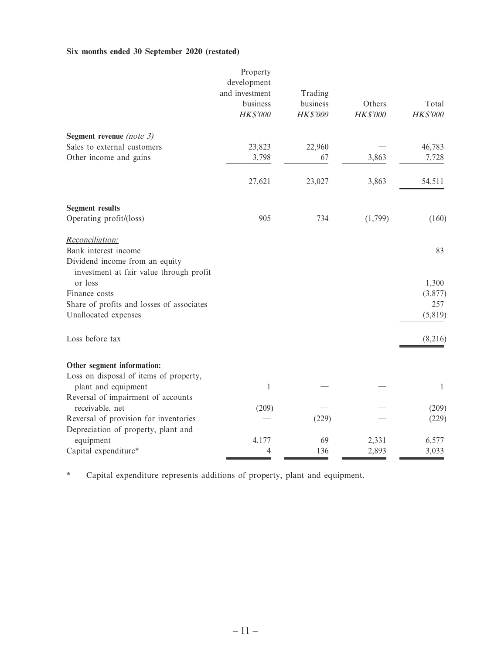#### **Six months ended 30 September 2020 (restated)**

|                                                                           | Property<br>development<br>and investment | Trading                     |                           |                          |
|---------------------------------------------------------------------------|-------------------------------------------|-----------------------------|---------------------------|--------------------------|
|                                                                           | business<br>HK\$'000                      | business<br><b>HK\$'000</b> | Others<br><b>HK\$'000</b> | Total<br><b>HK\$'000</b> |
| Segment revenue (note $3$ )                                               |                                           |                             |                           |                          |
| Sales to external customers                                               | 23,823                                    | 22,960                      |                           | 46,783                   |
| Other income and gains                                                    | 3,798                                     | 67                          | 3,863                     | 7,728                    |
|                                                                           | 27,621                                    | 23,027                      | 3,863                     | 54,511                   |
| <b>Segment results</b>                                                    |                                           |                             |                           |                          |
| Operating profit/(loss)                                                   | 905                                       | 734                         | (1,799)                   | (160)                    |
| Reconciliation:                                                           |                                           |                             |                           |                          |
| Bank interest income                                                      |                                           |                             |                           | 83                       |
| Dividend income from an equity<br>investment at fair value through profit |                                           |                             |                           |                          |
| or loss                                                                   |                                           |                             |                           | 1,300                    |
| Finance costs<br>Share of profits and losses of associates                |                                           |                             |                           | (3,877)<br>257           |
| Unallocated expenses                                                      |                                           |                             |                           | (5, 819)                 |
|                                                                           |                                           |                             |                           |                          |
| Loss before tax                                                           |                                           |                             |                           | (8,216)                  |
| Other segment information:                                                |                                           |                             |                           |                          |
| Loss on disposal of items of property,                                    |                                           |                             |                           |                          |
| plant and equipment                                                       | $\mathbf{1}$                              |                             |                           | $\mathbf{1}$             |
| Reversal of impairment of accounts                                        |                                           |                             |                           |                          |
| receivable, net                                                           | (209)                                     |                             |                           | (209)                    |
| Reversal of provision for inventories                                     |                                           | (229)                       |                           | (229)                    |
| Depreciation of property, plant and                                       |                                           |                             |                           |                          |
| equipment                                                                 | 4,177                                     | 69                          | 2,331                     | 6,577                    |
| Capital expenditure*                                                      | 4                                         | 136                         | 2,893                     | 3,033                    |

\* Capital expenditure represents additions of property, plant and equipment.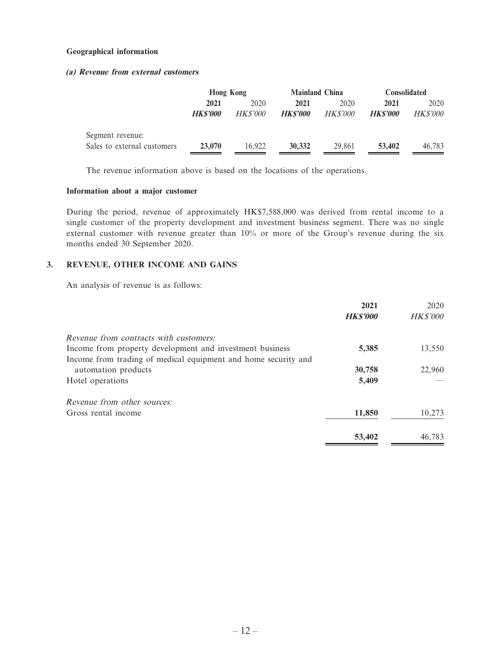#### **Geographical information**

#### **(a) Revenue from external customers**

|                             | <b>Hong Kong</b> |                 | <b>Mainland China</b> |                 | <b>Consolidated</b> |                 |  |
|-----------------------------|------------------|-----------------|-----------------------|-----------------|---------------------|-----------------|--|
|                             | 2021             | 2020<br>2021    |                       | 2020            | 2021                | 2020            |  |
|                             | HKS'000          | <i>HK\$'000</i> | <b>HKS'000</b>        | <i>HK\$'000</i> | <b>HKS'000</b>      | <b>HK\$'000</b> |  |
| Segment revenue:            |                  |                 |                       |                 |                     |                 |  |
| Sales to external customers | 23,070           | 16.922          | 30,332                | 29.861          | 53,402              | 46,783          |  |

The revenue information above is based on the locations of the operations.

#### **Information about a major customer**

During the period, revenue of approximately HK\$7,588,000 was derived from rental income to a single customer of the property development and investment business segment. There was no single external customer with revenue greater than 10% or more of the Group's revenue during the six months ended 30 September 2020.

#### **3. REVENUE, OTHER INCOME AND GAINS**

An analysis of revenue is as follows:

|                                                                | 2021           | 2020            |
|----------------------------------------------------------------|----------------|-----------------|
|                                                                | <b>HKS'000</b> | <b>HK\$'000</b> |
| Revenue from contracts with customers:                         |                |                 |
| Income from property development and investment business       | 5,385          | 13,550          |
| Income from trading of medical equipment and home security and |                |                 |
| automation products                                            | 30,758         | 22,960          |
| Hotel operations                                               | 5,409          |                 |
| Revenue from other sources:                                    |                |                 |
| Gross rental income                                            | 11,850         | 10,273          |
|                                                                | 53,402         | 46.783          |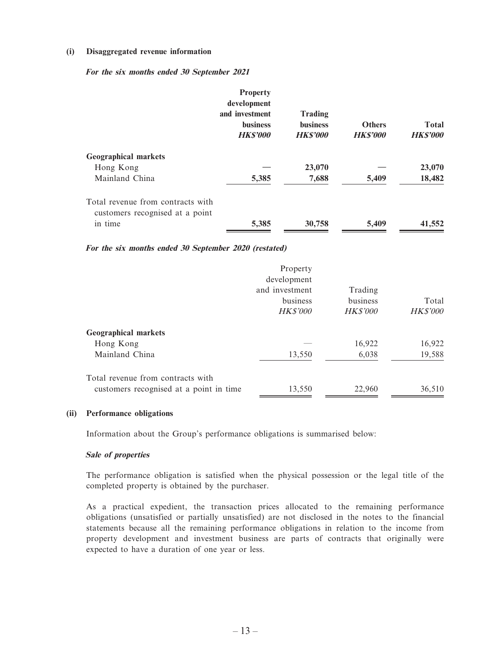#### **(i) Disaggregated revenue information**

**For the six months ended 30 September 2021**

|                                                                      | <b>Property</b><br>development<br>and investment<br><b>business</b><br><b>HKS'000</b> | <b>Trading</b><br><b>business</b><br><b>HKS'000</b> | <b>Others</b><br><b>HKS'000</b> | <b>Total</b><br><b>HKS'000</b> |
|----------------------------------------------------------------------|---------------------------------------------------------------------------------------|-----------------------------------------------------|---------------------------------|--------------------------------|
| <b>Geographical markets</b>                                          |                                                                                       |                                                     |                                 |                                |
| Hong Kong                                                            |                                                                                       | 23,070                                              |                                 | 23,070                         |
| Mainland China                                                       | 5,385                                                                                 | 7,688                                               | 5,409                           | 18,482                         |
| Total revenue from contracts with<br>customers recognised at a point |                                                                                       |                                                     |                                 |                                |
| in time                                                              | 5,385                                                                                 | 30,758                                              | 5,409                           | 41,552                         |

**For the six months ended 30 September 2020 (restated)**

|                                                                              | Property<br>development<br>and investment<br>business<br><b>HK\$'000</b> | Trading<br>business<br><b>HK\$'000</b> | Total<br><b>HK\$'000</b> |
|------------------------------------------------------------------------------|--------------------------------------------------------------------------|----------------------------------------|--------------------------|
| <b>Geographical markets</b>                                                  |                                                                          |                                        |                          |
| Hong Kong                                                                    |                                                                          | 16,922                                 | 16,922                   |
| Mainland China                                                               | 13,550                                                                   | 6,038                                  | 19,588                   |
| Total revenue from contracts with<br>customers recognised at a point in time | 13,550                                                                   | 22,960                                 | 36,510                   |

#### **(ii) Performance obligations**

Information about the Group's performance obligations is summarised below:

#### **Sale of properties**

The performance obligation is satisfied when the physical possession or the legal title of the completed property is obtained by the purchaser.

As a practical expedient, the transaction prices allocated to the remaining performance obligations (unsatisfied or partially unsatisfied) are not disclosed in the notes to the financial statements because all the remaining performance obligations in relation to the income from property development and investment business are parts of contracts that originally were expected to have a duration of one year or less.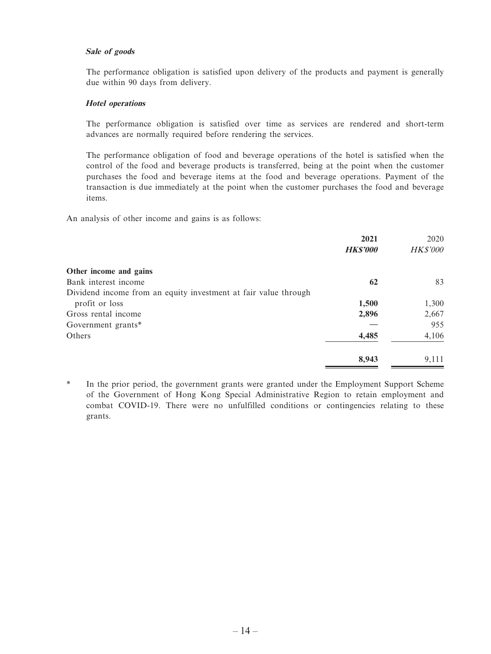#### **Sale of goods**

The performance obligation is satisfied upon delivery of the products and payment is generally due within 90 days from delivery.

#### **Hotel operations**

The performance obligation is satisfied over time as services are rendered and short-term advances are normally required before rendering the services.

The performance obligation of food and beverage operations of the hotel is satisfied when the control of the food and beverage products is transferred, being at the point when the customer purchases the food and beverage items at the food and beverage operations. Payment of the transaction is due immediately at the point when the customer purchases the food and beverage items.

An analysis of other income and gains is as follows:

|                                                                 | 2021            | 2020            |
|-----------------------------------------------------------------|-----------------|-----------------|
|                                                                 | <b>HK\$'000</b> | <b>HK\$'000</b> |
| Other income and gains                                          |                 |                 |
| Bank interest income                                            | 62              | 83              |
| Dividend income from an equity investment at fair value through |                 |                 |
| profit or loss                                                  | 1,500           | 1,300           |
| Gross rental income                                             | 2,896           | 2,667           |
| Government grants*                                              |                 | 955             |
| Others                                                          | 4,485           | 4,106           |
|                                                                 | 8,943           | 9,111           |

\* In the prior period, the government grants were granted under the Employment Support Scheme of the Government of Hong Kong Special Administrative Region to retain employment and combat COVID-19. There were no unfulfilled conditions or contingencies relating to these grants.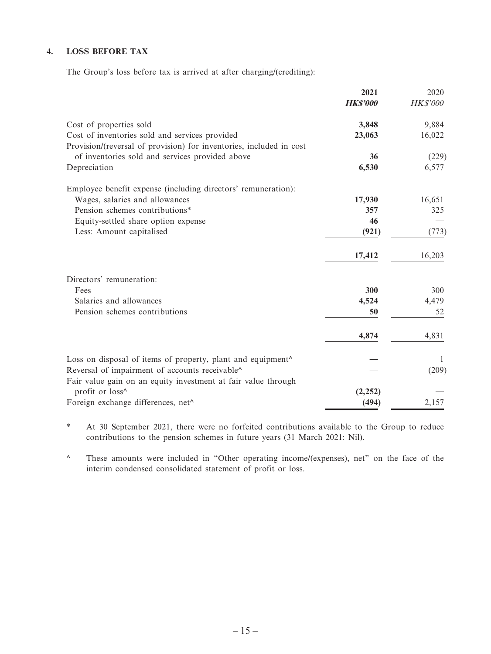#### **4. LOSS BEFORE TAX**

The Group's loss before tax is arrived at after charging/(crediting):

|                                                                     | 2021<br><b>HKS'000</b> | 2020<br><b>HK\$'000</b> |
|---------------------------------------------------------------------|------------------------|-------------------------|
| Cost of properties sold                                             | 3,848                  | 9,884                   |
| Cost of inventories sold and services provided                      | 23,063                 | 16,022                  |
| Provision/(reversal of provision) for inventories, included in cost |                        |                         |
| of inventories sold and services provided above                     | 36                     | (229)                   |
| Depreciation                                                        | 6,530                  | 6,577                   |
| Employee benefit expense (including directors' remuneration):       |                        |                         |
| Wages, salaries and allowances                                      | 17,930                 | 16,651                  |
| Pension schemes contributions*                                      | 357                    | 325                     |
| Equity-settled share option expense                                 | 46                     |                         |
| Less: Amount capitalised                                            | (921)                  | (773)                   |
|                                                                     | 17,412                 | 16,203                  |
| Directors' remuneration:                                            |                        |                         |
| Fees                                                                | 300                    | 300                     |
| Salaries and allowances                                             | 4,524                  | 4,479                   |
| Pension schemes contributions                                       | 50                     | 52                      |
|                                                                     | 4,874                  | 4,831                   |
| Loss on disposal of items of property, plant and equipment^         |                        | 1                       |
| Reversal of impairment of accounts receivable^                      |                        | (209)                   |
| Fair value gain on an equity investment at fair value through       |                        |                         |
| profit or loss^                                                     | (2,252)                |                         |
| Foreign exchange differences, net^                                  | (494)                  | 2,157                   |

\* At 30 September 2021, there were no forfeited contributions available to the Group to reduce contributions to the pension schemes in future years (31 March 2021: Nil).

^ These amounts were included in "Other operating income/(expenses), net" on the face of the interim condensed consolidated statement of profit or loss.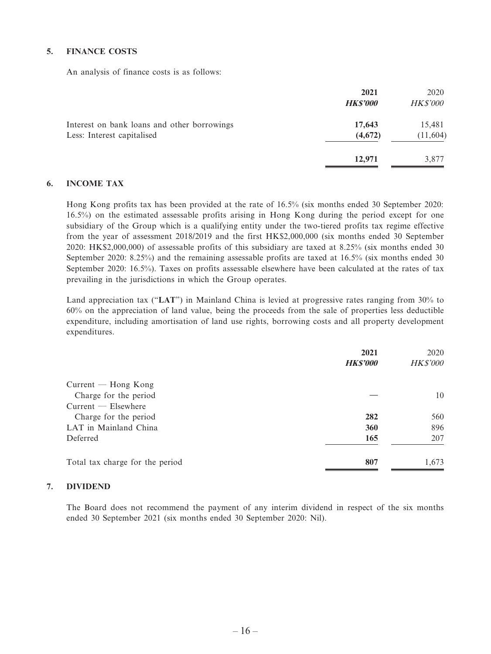#### **5. FINANCE COSTS**

An analysis of finance costs is as follows:

|                                                                           | 2021<br><b>HK\$'000</b> | 2020<br><b>HK\$'000</b> |
|---------------------------------------------------------------------------|-------------------------|-------------------------|
| Interest on bank loans and other borrowings<br>Less: Interest capitalised | 17,643<br>(4,672)       | 15,481<br>(11, 604)     |
|                                                                           | 12,971                  | 3,877                   |

#### **6. INCOME TAX**

Hong Kong profits tax has been provided at the rate of 16.5% (six months ended 30 September 2020: 16.5%) on the estimated assessable profits arising in Hong Kong during the period except for one subsidiary of the Group which is a qualifying entity under the two-tiered profits tax regime effective from the year of assessment 2018/2019 and the first HK\$2,000,000 (six months ended 30 September 2020: HK\$2,000,000) of assessable profits of this subsidiary are taxed at 8.25% (six months ended 30 September 2020: 8.25%) and the remaining assessable profits are taxed at 16.5% (six months ended 30 September 2020: 16.5%). Taxes on profits assessable elsewhere have been calculated at the rates of tax prevailing in the jurisdictions in which the Group operates.

Land appreciation tax ("**LAT**") in Mainland China is levied at progressive rates ranging from 30% to 60% on the appreciation of land value, being the proceeds from the sale of properties less deductible expenditure, including amortisation of land use rights, borrowing costs and all property development expenditures.

|                                 | 2021<br><b>HK\$'000</b> | 2020<br><b>HK\$'000</b> |
|---------------------------------|-------------------------|-------------------------|
| $Current - Hong Kong$           |                         |                         |
| Charge for the period           |                         | 10                      |
| $Current$ $-$ Elsewhere         |                         |                         |
| Charge for the period           | 282                     | 560                     |
| LAT in Mainland China           | 360                     | 896                     |
| Deferred                        | 165                     | 207                     |
| Total tax charge for the period | 807                     | 1,673                   |

#### **7. DIVIDEND**

The Board does not recommend the payment of any interim dividend in respect of the six months ended 30 September 2021 (six months ended 30 September 2020: Nil).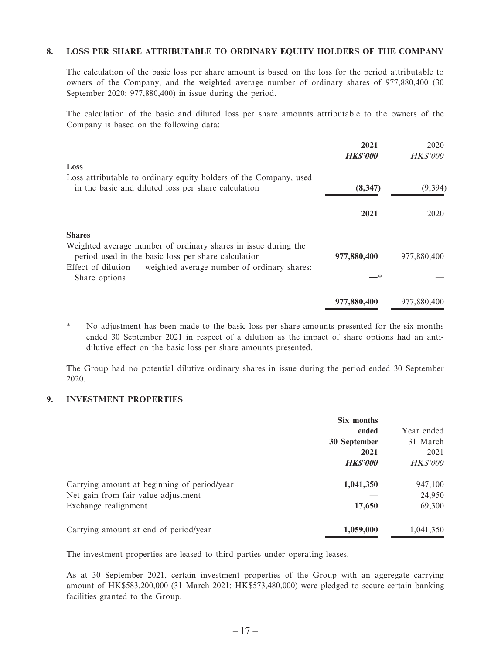#### **8. LOSS PER SHARE ATTRIBUTABLE TO ORDINARY EQUITY HOLDERS OF THE COMPANY**

The calculation of the basic loss per share amount is based on the loss for the period attributable to owners of the Company, and the weighted average number of ordinary shares of 977,880,400 (30 September 2020: 977,880,400) in issue during the period.

The calculation of the basic and diluted loss per share amounts attributable to the owners of the Company is based on the following data:

|                                                                                                                          | 2021<br><b>HK\$'000</b> | 2020<br><b>HK\$'000</b> |
|--------------------------------------------------------------------------------------------------------------------------|-------------------------|-------------------------|
| Loss                                                                                                                     |                         |                         |
| Loss attributable to ordinary equity holders of the Company, used<br>in the basic and diluted loss per share calculation | (8,347)                 | (9, 394)                |
|                                                                                                                          | 2021                    | 2020                    |
| <b>Shares</b>                                                                                                            |                         |                         |
| Weighted average number of ordinary shares in issue during the<br>period used in the basic loss per share calculation    | 977,880,400             | 977,880,400             |
| Effect of dilution — weighted average number of ordinary shares:<br>Share options                                        | —*                      |                         |
|                                                                                                                          | 977,880,400             | 977,880,400             |

\* No adjustment has been made to the basic loss per share amounts presented for the six months ended 30 September 2021 in respect of a dilution as the impact of share options had an antidilutive effect on the basic loss per share amounts presented.

The Group had no potential dilutive ordinary shares in issue during the period ended 30 September 2020.

#### **9. INVESTMENT PROPERTIES**

|                                             | Six months      |                 |
|---------------------------------------------|-----------------|-----------------|
|                                             | ended           | Year ended      |
|                                             | 30 September    | 31 March        |
|                                             | 2021            | 2021            |
|                                             | <b>HK\$'000</b> | <b>HK\$'000</b> |
| Carrying amount at beginning of period/year | 1,041,350       | 947,100         |
| Net gain from fair value adjustment         |                 | 24,950          |
| Exchange realignment                        | 17,650          | 69,300          |
| Carrying amount at end of period/year       | 1,059,000       | 1,041,350       |

The investment properties are leased to third parties under operating leases.

As at 30 September 2021, certain investment properties of the Group with an aggregate carrying amount of HK\$583,200,000 (31 March 2021: HK\$573,480,000) were pledged to secure certain banking facilities granted to the Group.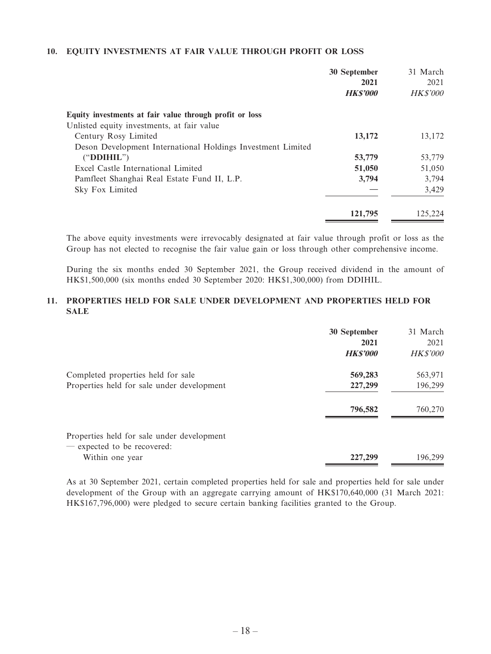#### **10. EQUITY INVESTMENTS AT FAIR VALUE THROUGH PROFIT OR LOSS**

|                                                             | 30 September<br>2021 | 31 March<br>2021 |
|-------------------------------------------------------------|----------------------|------------------|
|                                                             | <b>HKS'000</b>       | <b>HK\$'000</b>  |
| Equity investments at fair value through profit or loss     |                      |                  |
| Unlisted equity investments, at fair value                  |                      |                  |
| Century Rosy Limited                                        | 13,172               | 13,172           |
| Deson Development International Holdings Investment Limited |                      |                  |
| ("DDIHIL")                                                  | 53,779               | 53,779           |
| Excel Castle International Limited                          | 51,050               | 51,050           |
| Pamfleet Shanghai Real Estate Fund II, L.P.                 | 3,794                | 3,794            |
| Sky Fox Limited                                             |                      | 3,429            |
|                                                             | 121,795              | 125.224          |

The above equity investments were irrevocably designated at fair value through profit or loss as the Group has not elected to recognise the fair value gain or loss through other comprehensive income.

During the six months ended 30 September 2021, the Group received dividend in the amount of HK\$1,500,000 (six months ended 30 September 2020: HK\$1,300,000) from DDIHIL.

#### **11. PROPERTIES HELD FOR SALE UNDER DEVELOPMENT AND PROPERTIES HELD FOR SALE**

|                                                                                  | 30 September<br>2021<br><b>HKS'000</b> | 31 March<br>2021<br><b>HK\$'000</b> |
|----------------------------------------------------------------------------------|----------------------------------------|-------------------------------------|
| Completed properties held for sale<br>Properties held for sale under development | 569,283<br>227,299                     | 563,971<br>196,299                  |
|                                                                                  | 796,582                                | 760,270                             |
| Properties held for sale under development<br>- expected to be recovered:        |                                        |                                     |
| Within one year                                                                  | 227,299                                | 196.299                             |

As at 30 September 2021, certain completed properties held for sale and properties held for sale under development of the Group with an aggregate carrying amount of HK\$170,640,000 (31 March 2021: HK\$167,796,000) were pledged to secure certain banking facilities granted to the Group.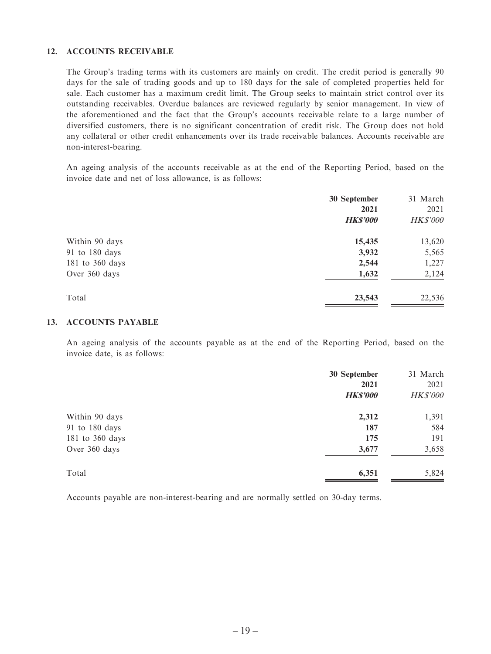#### **12. ACCOUNTS RECEIVABLE**

The Group's trading terms with its customers are mainly on credit. The credit period is generally 90 days for the sale of trading goods and up to 180 days for the sale of completed properties held for sale. Each customer has a maximum credit limit. The Group seeks to maintain strict control over its outstanding receivables. Overdue balances are reviewed regularly by senior management. In view of the aforementioned and the fact that the Group's accounts receivable relate to a large number of diversified customers, there is no significant concentration of credit risk. The Group does not hold any collateral or other credit enhancements over its trade receivable balances. Accounts receivable are non-interest-bearing.

An ageing analysis of the accounts receivable as at the end of the Reporting Period, based on the invoice date and net of loss allowance, is as follows:

|                 | 30 September    | 31 March        |
|-----------------|-----------------|-----------------|
|                 | 2021            | 2021            |
|                 | <b>HK\$'000</b> | <b>HK\$'000</b> |
| Within 90 days  | 15,435          | 13,620          |
| 91 to 180 days  | 3,932           | 5,565           |
| 181 to 360 days | 2,544           | 1,227           |
| Over 360 days   | 1,632           | 2,124           |
| Total           | 23,543          | 22,536          |

#### **13. ACCOUNTS PAYABLE**

An ageing analysis of the accounts payable as at the end of the Reporting Period, based on the invoice date, is as follows:

|                 | 30 September<br>2021<br><b>HK\$'000</b> | 31 March<br>2021<br><b>HK\$'000</b> |
|-----------------|-----------------------------------------|-------------------------------------|
| Within 90 days  | 2,312                                   | 1,391                               |
| 91 to 180 days  | 187                                     | 584                                 |
| 181 to 360 days | 175                                     | 191                                 |
| Over 360 days   | 3,677                                   | 3,658                               |
| Total           | 6,351                                   | 5,824                               |

Accounts payable are non-interest-bearing and are normally settled on 30-day terms.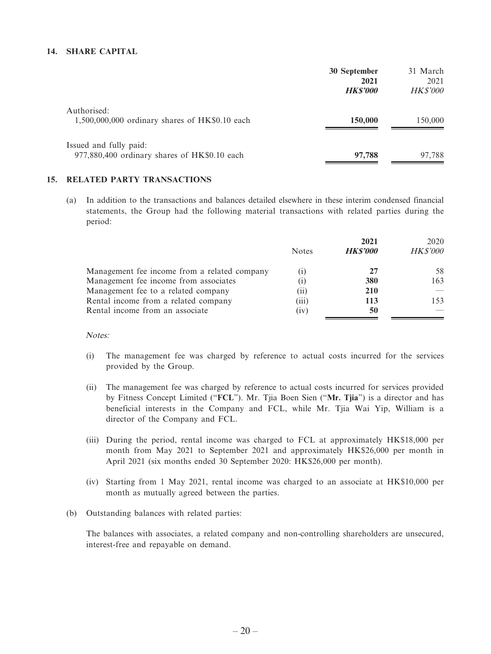#### **14. SHARE CAPITAL**

|                                                                        | 30 September<br>2021 | 31 March<br>2021 |
|------------------------------------------------------------------------|----------------------|------------------|
|                                                                        | <b>HKS'000</b>       | <b>HK\$'000</b>  |
| Authorised:<br>$1,500,000,000$ ordinary shares of HK\$0.10 each        | 150,000              | 150,000          |
| Issued and fully paid:<br>977,880,400 ordinary shares of HK\$0.10 each | 97,788               | 97.788           |

#### **15. RELATED PARTY TRANSACTIONS**

(a) In addition to the transactions and balances detailed elsewhere in these interim condensed financial statements, the Group had the following material transactions with related parties during the period:

|                                              |                   | 2021           | 2020            |
|----------------------------------------------|-------------------|----------------|-----------------|
|                                              | <b>Notes</b>      | <b>HKS'000</b> | <b>HK\$'000</b> |
| Management fee income from a related company | $\left( 1\right)$ | 27             | 58              |
| Management fee income from associates        | $\left(1\right)$  | 380            | 163             |
| Management fee to a related company          | (11)              | <b>210</b>     |                 |
| Rental income from a related company         | (iii)             | 113            | 153             |
| Rental income from an associate              | (iv)              | 50             |                 |

Notes:

- (i) The management fee was charged by reference to actual costs incurred for the services provided by the Group.
- (ii) The management fee was charged by reference to actual costs incurred for services provided by Fitness Concept Limited ("**FCL**"). Mr. Tjia Boen Sien ("**Mr. Tjia**") is a director and has beneficial interests in the Company and FCL, while Mr. Tjia Wai Yip, William is a director of the Company and FCL.
- (iii) During the period, rental income was charged to FCL at approximately HK\$18,000 per month from May 2021 to September 2021 and approximately HK\$26,000 per month in April 2021 (six months ended 30 September 2020: HK\$26,000 per month).
- (iv) Starting from 1 May 2021, rental income was charged to an associate at HK\$10,000 per month as mutually agreed between the parties.
- (b) Outstanding balances with related parties:

The balances with associates, a related company and non-controlling shareholders are unsecured, interest-free and repayable on demand.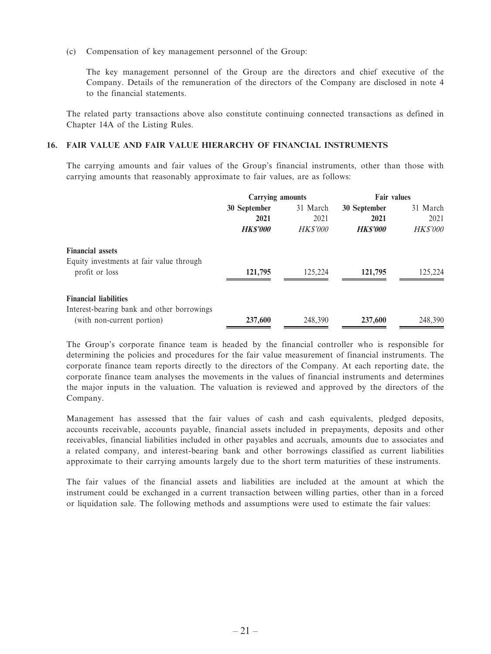(c) Compensation of key management personnel of the Group:

The key management personnel of the Group are the directors and chief executive of the Company. Details of the remuneration of the directors of the Company are disclosed in note 4 to the financial statements.

The related party transactions above also constitute continuing connected transactions as defined in Chapter 14A of the Listing Rules.

#### **16. FAIR VALUE AND FAIR VALUE HIERARCHY OF FINANCIAL INSTRUMENTS**

The carrying amounts and fair values of the Group's financial instruments, other than those with carrying amounts that reasonably approximate to fair values, are as follows:

|                                                                            | <b>Carrying amounts</b> |                | <b>Fair values</b> |                 |
|----------------------------------------------------------------------------|-------------------------|----------------|--------------------|-----------------|
|                                                                            | 30 September            | 31 March       | 30 September       | 31 March        |
|                                                                            | 2021                    | 2021           | 2021               | 2021            |
|                                                                            | <b>HKS'000</b>          | <b>HKS'000</b> | <b>HKS'000</b>     | <b>HK\$'000</b> |
| <b>Financial assets</b><br>Equity investments at fair value through        |                         |                |                    |                 |
| profit or loss                                                             | 121,795                 | 125,224        | 121,795            | 125,224         |
| <b>Financial liabilities</b><br>Interest-bearing bank and other borrowings |                         |                |                    |                 |
| (with non-current portion)                                                 | 237,600                 | 248,390        | 237,600            | 248,390         |

The Group's corporate finance team is headed by the financial controller who is responsible for determining the policies and procedures for the fair value measurement of financial instruments. The corporate finance team reports directly to the directors of the Company. At each reporting date, the corporate finance team analyses the movements in the values of financial instruments and determines the major inputs in the valuation. The valuation is reviewed and approved by the directors of the Company.

Management has assessed that the fair values of cash and cash equivalents, pledged deposits, accounts receivable, accounts payable, financial assets included in prepayments, deposits and other receivables, financial liabilities included in other payables and accruals, amounts due to associates and a related company, and interest-bearing bank and other borrowings classified as current liabilities approximate to their carrying amounts largely due to the short term maturities of these instruments.

The fair values of the financial assets and liabilities are included at the amount at which the instrument could be exchanged in a current transaction between willing parties, other than in a forced or liquidation sale. The following methods and assumptions were used to estimate the fair values: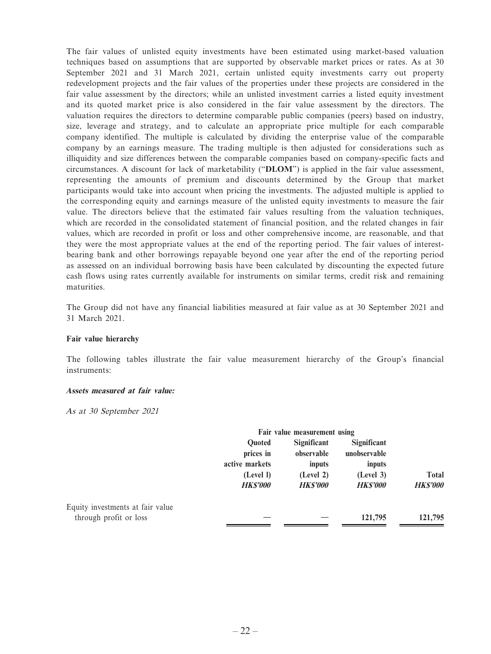The fair values of unlisted equity investments have been estimated using market-based valuation techniques based on assumptions that are supported by observable market prices or rates. As at 30 September 2021 and 31 March 2021, certain unlisted equity investments carry out property redevelopment projects and the fair values of the properties under these projects are considered in the fair value assessment by the directors; while an unlisted investment carries a listed equity investment and its quoted market price is also considered in the fair value assessment by the directors. The valuation requires the directors to determine comparable public companies (peers) based on industry, size, leverage and strategy, and to calculate an appropriate price multiple for each comparable company identified. The multiple is calculated by dividing the enterprise value of the comparable company by an earnings measure. The trading multiple is then adjusted for considerations such as illiquidity and size differences between the comparable companies based on company-specific facts and circumstances. A discount for lack of marketability ("**DLOM**") is applied in the fair value assessment, representing the amounts of premium and discounts determined by the Group that market participants would take into account when pricing the investments. The adjusted multiple is applied to the corresponding equity and earnings measure of the unlisted equity investments to measure the fair value. The directors believe that the estimated fair values resulting from the valuation techniques, which are recorded in the consolidated statement of financial position, and the related changes in fair values, which are recorded in profit or loss and other comprehensive income, are reasonable, and that they were the most appropriate values at the end of the reporting period. The fair values of interestbearing bank and other borrowings repayable beyond one year after the end of the reporting period as assessed on an individual borrowing basis have been calculated by discounting the expected future cash flows using rates currently available for instruments on similar terms, credit risk and remaining maturities.

The Group did not have any financial liabilities measured at fair value as at 30 September 2021 and 31 March 2021.

#### **Fair value hierarchy**

The following tables illustrate the fair value measurement hierarchy of the Group's financial instruments:

#### **Assets measured at fair value:**

As at 30 September 2021

|                                  |                | Fair value measurement using |                    |                 |
|----------------------------------|----------------|------------------------------|--------------------|-----------------|
|                                  | <b>Ouoted</b>  | Significant                  | <b>Significant</b> |                 |
|                                  | prices in      | observable                   | unobservable       |                 |
|                                  | active markets | inputs                       | inputs             |                 |
|                                  | (Level I)      | (Level 2)                    | (Level 3)          | <b>Total</b>    |
|                                  | <b>HKS'000</b> | <b>HKS'000</b>               | <b>HKS'000</b>     | <b>HK\$'000</b> |
| Equity investments at fair value |                |                              |                    |                 |
| through profit or loss           |                |                              | 121,795            | 121,795         |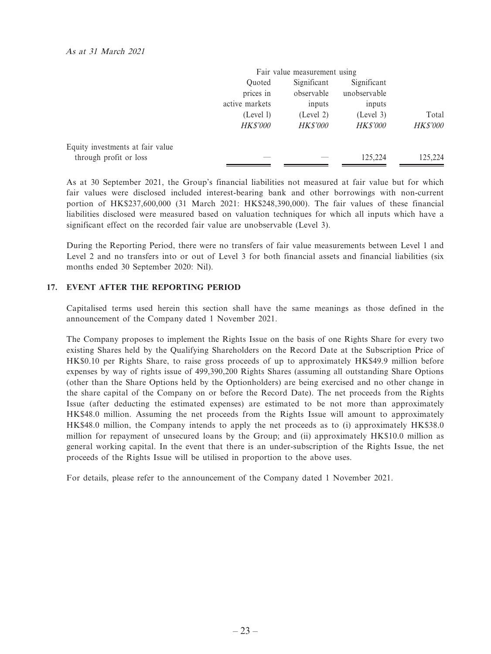|                                  |                 | Fair value measurement using |                 |                 |
|----------------------------------|-----------------|------------------------------|-----------------|-----------------|
|                                  | Ouoted          | Significant                  | Significant     |                 |
|                                  | prices in       | observable                   | unobservable    |                 |
|                                  | active markets  | inputs                       | inputs          |                 |
|                                  | (Level 1)       | (Level 2)                    | (Level 3)       | Total           |
|                                  | <b>HK\$'000</b> | <b>HK\$'000</b>              | <b>HK\$'000</b> | <b>HK\$'000</b> |
| Equity investments at fair value |                 |                              |                 |                 |
| through profit or loss           |                 |                              | 125.224         | 125,224         |

As at 30 September 2021, the Group's financial liabilities not measured at fair value but for which fair values were disclosed included interest-bearing bank and other borrowings with non-current portion of HK\$237,600,000 (31 March 2021: HK\$248,390,000). The fair values of these financial liabilities disclosed were measured based on valuation techniques for which all inputs which have a significant effect on the recorded fair value are unobservable (Level 3).

During the Reporting Period, there were no transfers of fair value measurements between Level 1 and Level 2 and no transfers into or out of Level 3 for both financial assets and financial liabilities (six months ended 30 September 2020: Nil).

#### **17. EVENT AFTER THE REPORTING PERIOD**

Capitalised terms used herein this section shall have the same meanings as those defined in the announcement of the Company dated 1 November 2021.

The Company proposes to implement the Rights Issue on the basis of one Rights Share for every two existing Shares held by the Qualifying Shareholders on the Record Date at the Subscription Price of HK\$0.10 per Rights Share, to raise gross proceeds of up to approximately HK\$49.9 million before expenses by way of rights issue of 499,390,200 Rights Shares (assuming all outstanding Share Options (other than the Share Options held by the Optionholders) are being exercised and no other change in the share capital of the Company on or before the Record Date). The net proceeds from the Rights Issue (after deducting the estimated expenses) are estimated to be not more than approximately HK\$48.0 million. Assuming the net proceeds from the Rights Issue will amount to approximately HK\$48.0 million, the Company intends to apply the net proceeds as to (i) approximately HK\$38.0 million for repayment of unsecured loans by the Group; and (ii) approximately HK\$10.0 million as general working capital. In the event that there is an under-subscription of the Rights Issue, the net proceeds of the Rights Issue will be utilised in proportion to the above uses.

For details, please refer to the announcement of the Company dated 1 November 2021.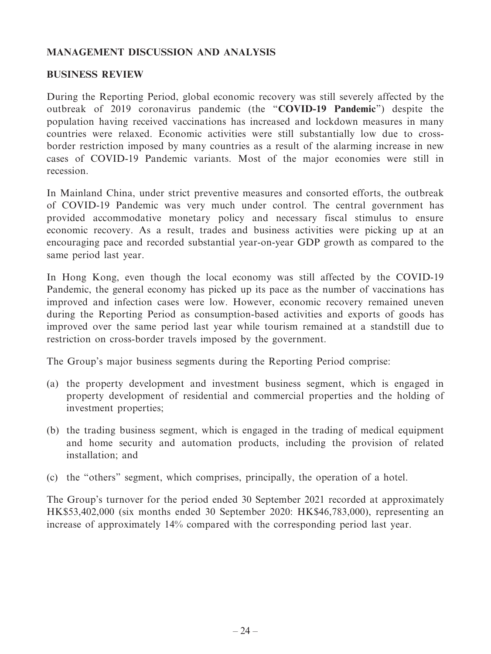## **MANAGEMENT DISCUSSION AND ANALYSIS**

#### **BUSINESS REVIEW**

During the Reporting Period, global economic recovery was still severely affected by the outbreak of 2019 coronavirus pandemic (the "**COVID-19 Pandemic**") despite the population having received vaccinations has increased and lockdown measures in many countries were relaxed. Economic activities were still substantially low due to crossborder restriction imposed by many countries as a result of the alarming increase in new cases of COVID-19 Pandemic variants. Most of the major economies were still in recession.

In Mainland China, under strict preventive measures and consorted efforts, the outbreak of COVID-19 Pandemic was very much under control. The central government has provided accommodative monetary policy and necessary fiscal stimulus to ensure economic recovery. As a result, trades and business activities were picking up at an encouraging pace and recorded substantial year-on-year GDP growth as compared to the same period last year.

In Hong Kong, even though the local economy was still affected by the COVID-19 Pandemic, the general economy has picked up its pace as the number of vaccinations has improved and infection cases were low. However, economic recovery remained uneven during the Reporting Period as consumption-based activities and exports of goods has improved over the same period last year while tourism remained at a standstill due to restriction on cross-border travels imposed by the government.

The Group's major business segments during the Reporting Period comprise:

- (a) the property development and investment business segment, which is engaged in property development of residential and commercial properties and the holding of investment properties;
- (b) the trading business segment, which is engaged in the trading of medical equipment and home security and automation products, including the provision of related installation; and
- (c) the "others" segment, which comprises, principally, the operation of a hotel.

The Group's turnover for the period ended 30 September 2021 recorded at approximately HK\$53,402,000 (six months ended 30 September 2020: HK\$46,783,000), representing an increase of approximately 14% compared with the corresponding period last year.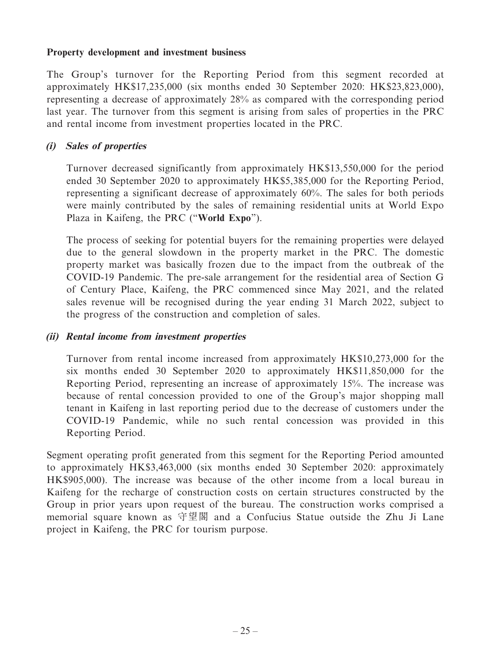#### **Property development and investment business**

The Group's turnover for the Reporting Period from this segment recorded at approximately HK\$17,235,000 (six months ended 30 September 2020: HK\$23,823,000), representing a decrease of approximately 28% as compared with the corresponding period last year. The turnover from this segment is arising from sales of properties in the PRC and rental income from investment properties located in the PRC.

## **(i) Sales of properties**

Turnover decreased significantly from approximately HK\$13,550,000 for the period ended 30 September 2020 to approximately HK\$5,385,000 for the Reporting Period, representing a significant decrease of approximately 60%. The sales for both periods were mainly contributed by the sales of remaining residential units at World Expo Plaza in Kaifeng, the PRC ("**World Expo**").

The process of seeking for potential buyers for the remaining properties were delayed due to the general slowdown in the property market in the PRC. The domestic property market was basically frozen due to the impact from the outbreak of the COVID-19 Pandemic. The pre-sale arrangement for the residential area of Section G of Century Place, Kaifeng, the PRC commenced since May 2021, and the related sales revenue will be recognised during the year ending 31 March 2022, subject to the progress of the construction and completion of sales.

## **(ii) Rental income from investment properties**

Turnover from rental income increased from approximately HK\$10,273,000 for the six months ended 30 September 2020 to approximately HK\$11,850,000 for the Reporting Period, representing an increase of approximately 15%. The increase was because of rental concession provided to one of the Group's major shopping mall tenant in Kaifeng in last reporting period due to the decrease of customers under the COVID-19 Pandemic, while no such rental concession was provided in this Reporting Period.

Segment operating profit generated from this segment for the Reporting Period amounted to approximately HK\$3,463,000 (six months ended 30 September 2020: approximately HK\$905,000). The increase was because of the other income from a local bureau in Kaifeng for the recharge of construction costs on certain structures constructed by the Group in prior years upon request of the bureau. The construction works comprised a memorial square known as 守望閣 and a Confucius Statue outside the Zhu Ji Lane project in Kaifeng, the PRC for tourism purpose.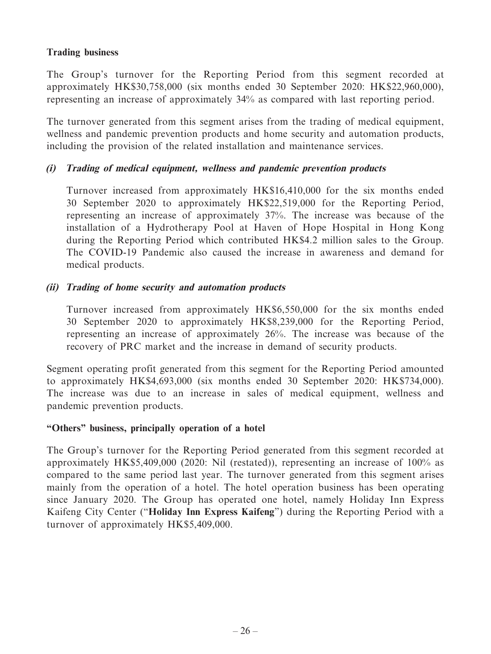## **Trading business**

The Group's turnover for the Reporting Period from this segment recorded at approximately HK\$30,758,000 (six months ended 30 September 2020: HK\$22,960,000), representing an increase of approximately 34% as compared with last reporting period.

The turnover generated from this segment arises from the trading of medical equipment, wellness and pandemic prevention products and home security and automation products, including the provision of the related installation and maintenance services.

## **(i) Trading of medical equipment, wellness and pandemic prevention products**

Turnover increased from approximately HK\$16,410,000 for the six months ended 30 September 2020 to approximately HK\$22,519,000 for the Reporting Period, representing an increase of approximately 37%. The increase was because of the installation of a Hydrotherapy Pool at Haven of Hope Hospital in Hong Kong during the Reporting Period which contributed HK\$4.2 million sales to the Group. The COVID-19 Pandemic also caused the increase in awareness and demand for medical products.

## **(ii) Trading of home security and automation products**

Turnover increased from approximately HK\$6,550,000 for the six months ended 30 September 2020 to approximately HK\$8,239,000 for the Reporting Period, representing an increase of approximately 26%. The increase was because of the recovery of PRC market and the increase in demand of security products.

Segment operating profit generated from this segment for the Reporting Period amounted to approximately HK\$4,693,000 (six months ended 30 September 2020: HK\$734,000). The increase was due to an increase in sales of medical equipment, wellness and pandemic prevention products.

## **"Others" business, principally operation of a hotel**

The Group's turnover for the Reporting Period generated from this segment recorded at approximately HK\$5,409,000 (2020: Nil (restated)), representing an increase of 100% as compared to the same period last year. The turnover generated from this segment arises mainly from the operation of a hotel. The hotel operation business has been operating since January 2020. The Group has operated one hotel, namely Holiday Inn Express Kaifeng City Center ("**Holiday Inn Express Kaifeng**") during the Reporting Period with a turnover of approximately HK\$5,409,000.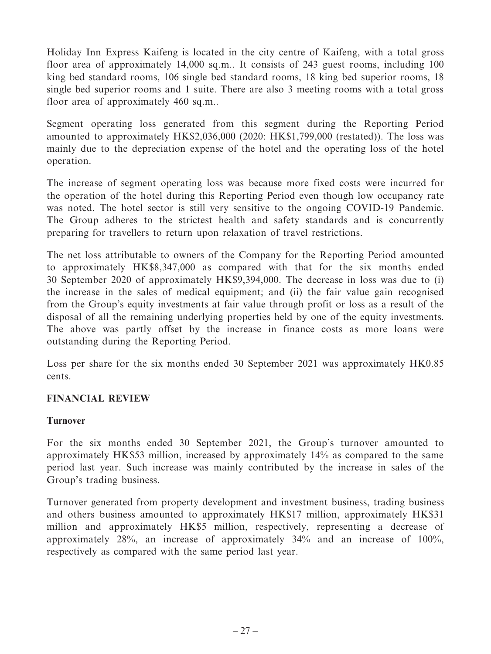Holiday Inn Express Kaifeng is located in the city centre of Kaifeng, with a total gross floor area of approximately 14,000 sq.m.. It consists of 243 guest rooms, including 100 king bed standard rooms, 106 single bed standard rooms, 18 king bed superior rooms, 18 single bed superior rooms and 1 suite. There are also 3 meeting rooms with a total gross floor area of approximately 460 sq.m..

Segment operating loss generated from this segment during the Reporting Period amounted to approximately HK\$2,036,000 (2020: HK\$1,799,000 (restated)). The loss was mainly due to the depreciation expense of the hotel and the operating loss of the hotel operation.

The increase of segment operating loss was because more fixed costs were incurred for the operation of the hotel during this Reporting Period even though low occupancy rate was noted. The hotel sector is still very sensitive to the ongoing COVID-19 Pandemic. The Group adheres to the strictest health and safety standards and is concurrently preparing for travellers to return upon relaxation of travel restrictions.

The net loss attributable to owners of the Company for the Reporting Period amounted to approximately HK\$8,347,000 as compared with that for the six months ended 30 September 2020 of approximately HK\$9,394,000. The decrease in loss was due to (i) the increase in the sales of medical equipment; and (ii) the fair value gain recognised from the Group's equity investments at fair value through profit or loss as a result of the disposal of all the remaining underlying properties held by one of the equity investments. The above was partly offset by the increase in finance costs as more loans were outstanding during the Reporting Period.

Loss per share for the six months ended 30 September 2021 was approximately HK0.85 cents.

## **FINANCIAL REVIEW**

## **Turnover**

For the six months ended 30 September 2021, the Group's turnover amounted to approximately HK\$53 million, increased by approximately 14% as compared to the same period last year. Such increase was mainly contributed by the increase in sales of the Group's trading business.

Turnover generated from property development and investment business, trading business and others business amounted to approximately HK\$17 million, approximately HK\$31 million and approximately HK\$5 million, respectively, representing a decrease of approximately 28%, an increase of approximately 34% and an increase of 100%, respectively as compared with the same period last year.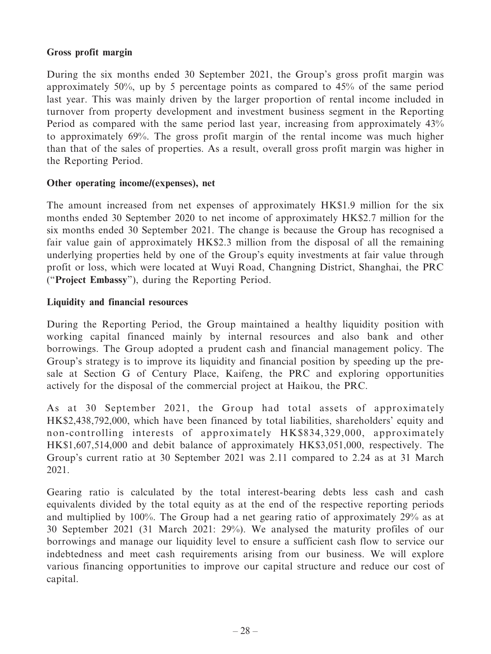## **Gross profit margin**

During the six months ended 30 September 2021, the Group's gross profit margin was approximately 50%, up by 5 percentage points as compared to 45% of the same period last year. This was mainly driven by the larger proportion of rental income included in turnover from property development and investment business segment in the Reporting Period as compared with the same period last year, increasing from approximately 43% to approximately 69%. The gross profit margin of the rental income was much higher than that of the sales of properties. As a result, overall gross profit margin was higher in the Reporting Period.

## **Other operating income/(expenses), net**

The amount increased from net expenses of approximately HK\$1.9 million for the six months ended 30 September 2020 to net income of approximately HK\$2.7 million for the six months ended 30 September 2021. The change is because the Group has recognised a fair value gain of approximately HK\$2.3 million from the disposal of all the remaining underlying properties held by one of the Group's equity investments at fair value through profit or loss, which were located at Wuyi Road, Changning District, Shanghai, the PRC ("**Project Embassy**"), during the Reporting Period.

## **Liquidity and financial resources**

During the Reporting Period, the Group maintained a healthy liquidity position with working capital financed mainly by internal resources and also bank and other borrowings. The Group adopted a prudent cash and financial management policy. The Group's strategy is to improve its liquidity and financial position by speeding up the presale at Section G of Century Place, Kaifeng, the PRC and exploring opportunities actively for the disposal of the commercial project at Haikou, the PRC.

As at 30 September 2021, the Group had total assets of approximately HK\$2,438,792,000, which have been financed by total liabilities, shareholders' equity and non-controlling interests of approximately HK\$834,329,000, approximately HK\$1,607,514,000 and debit balance of approximately HK\$3,051,000, respectively. The Group's current ratio at 30 September 2021 was 2.11 compared to 2.24 as at 31 March 2021.

Gearing ratio is calculated by the total interest-bearing debts less cash and cash equivalents divided by the total equity as at the end of the respective reporting periods and multiplied by 100%. The Group had a net gearing ratio of approximately 29% as at 30 September 2021 (31 March 2021: 29%). We analysed the maturity profiles of our borrowings and manage our liquidity level to ensure a sufficient cash flow to service our indebtedness and meet cash requirements arising from our business. We will explore various financing opportunities to improve our capital structure and reduce our cost of capital.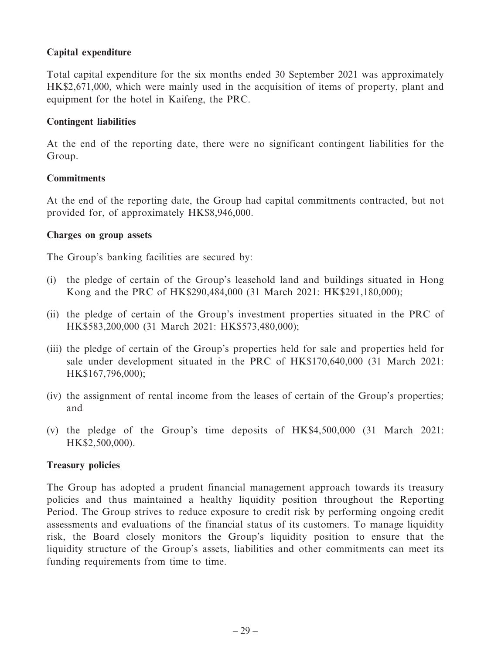## **Capital expenditure**

Total capital expenditure for the six months ended 30 September 2021 was approximately HK\$2,671,000, which were mainly used in the acquisition of items of property, plant and equipment for the hotel in Kaifeng, the PRC.

## **Contingent liabilities**

At the end of the reporting date, there were no significant contingent liabilities for the Group.

## **Commitments**

At the end of the reporting date, the Group had capital commitments contracted, but not provided for, of approximately HK\$8,946,000.

#### **Charges on group assets**

The Group's banking facilities are secured by:

- (i) the pledge of certain of the Group's leasehold land and buildings situated in Hong Kong and the PRC of HK\$290,484,000 (31 March 2021: HK\$291,180,000);
- (ii) the pledge of certain of the Group's investment properties situated in the PRC of HK\$583,200,000 (31 March 2021: HK\$573,480,000);
- (iii) the pledge of certain of the Group's properties held for sale and properties held for sale under development situated in the PRC of HK\$170,640,000 (31 March 2021: HK\$167,796,000);
- (iv) the assignment of rental income from the leases of certain of the Group's properties; and
- (v) the pledge of the Group's time deposits of HK\$4,500,000 (31 March 2021: HK\$2,500,000).

## **Treasury policies**

The Group has adopted a prudent financial management approach towards its treasury policies and thus maintained a healthy liquidity position throughout the Reporting Period. The Group strives to reduce exposure to credit risk by performing ongoing credit assessments and evaluations of the financial status of its customers. To manage liquidity risk, the Board closely monitors the Group's liquidity position to ensure that the liquidity structure of the Group's assets, liabilities and other commitments can meet its funding requirements from time to time.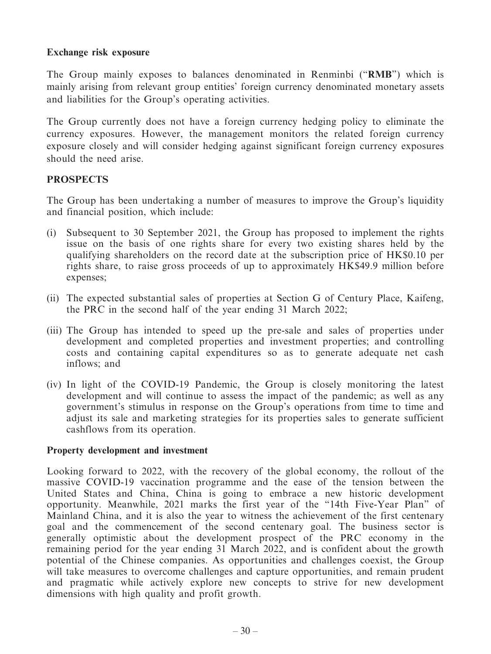#### **Exchange risk exposure**

The Group mainly exposes to balances denominated in Renminbi ("**RMB**") which is mainly arising from relevant group entities' foreign currency denominated monetary assets and liabilities for the Group's operating activities.

The Group currently does not have a foreign currency hedging policy to eliminate the currency exposures. However, the management monitors the related foreign currency exposure closely and will consider hedging against significant foreign currency exposures should the need arise.

## **PROSPECTS**

The Group has been undertaking a number of measures to improve the Group's liquidity and financial position, which include:

- (i) Subsequent to 30 September 2021, the Group has proposed to implement the rights issue on the basis of one rights share for every two existing shares held by the qualifying shareholders on the record date at the subscription price of HK\$0.10 per rights share, to raise gross proceeds of up to approximately HK\$49.9 million before expenses;
- (ii) The expected substantial sales of properties at Section G of Century Place, Kaifeng, the PRC in the second half of the year ending 31 March 2022;
- (iii) The Group has intended to speed up the pre-sale and sales of properties under development and completed properties and investment properties; and controlling costs and containing capital expenditures so as to generate adequate net cash inflows; and
- (iv) In light of the COVID-19 Pandemic, the Group is closely monitoring the latest development and will continue to assess the impact of the pandemic; as well as any government's stimulus in response on the Group's operations from time to time and adjust its sale and marketing strategies for its properties sales to generate sufficient cashflows from its operation.

#### **Property development and investment**

Looking forward to 2022, with the recovery of the global economy, the rollout of the massive COVID-19 vaccination programme and the ease of the tension between the United States and China, China is going to embrace a new historic development opportunity. Meanwhile, 2021 marks the first year of the "14th Five-Year Plan" of Mainland China, and it is also the year to witness the achievement of the first centenary goal and the commencement of the second centenary goal. The business sector is generally optimistic about the development prospect of the PRC economy in the remaining period for the year ending 31 March 2022, and is confident about the growth potential of the Chinese companies. As opportunities and challenges coexist, the Group will take measures to overcome challenges and capture opportunities, and remain prudent and pragmatic while actively explore new concepts to strive for new development dimensions with high quality and profit growth.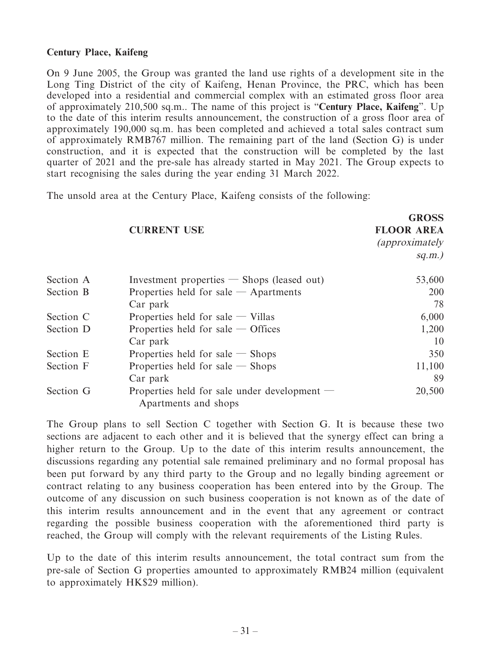#### **Century Place, Kaifeng**

On 9 June 2005, the Group was granted the land use rights of a development site in the Long Ting District of the city of Kaifeng, Henan Province, the PRC, which has been developed into a residential and commercial complex with an estimated gross floor area of approximately 210,500 sq.m.. The name of this project is "**Century Place, Kaifeng**". Up to the date of this interim results announcement, the construction of a gross floor area of approximately 190,000 sq.m. has been completed and achieved a total sales contract sum of approximately RMB767 million. The remaining part of the land (Section G) is under construction, and it is expected that the construction will be completed by the last quarter of 2021 and the pre-sale has already started in May 2021. The Group expects to start recognising the sales during the year ending 31 March 2022.

**G**ROSS

The unsold area at the Century Place, Kaifeng consists of the following:

|           | <b>CURRENT USE</b>                                                   | <b>UNUDD</b><br><b>FLOOR AREA</b><br><i>(approximately</i><br>$sq.m.$ ) |
|-----------|----------------------------------------------------------------------|-------------------------------------------------------------------------|
| Section A | Investment properties $-$ Shops (leased out)                         | 53,600                                                                  |
| Section B | Properties held for sale $-$ Apartments                              | 200                                                                     |
|           | Car park                                                             | 78                                                                      |
| Section C | Properties held for sale $-$ Villas                                  | 6,000                                                                   |
| Section D | Properties held for sale $-$ Offices                                 | 1,200                                                                   |
|           | Car park                                                             | 10                                                                      |
| Section E | Properties held for sale $-$ Shops                                   | 350                                                                     |
| Section F | Properties held for sale $-$ Shops                                   | 11,100                                                                  |
|           | Car park                                                             | 89                                                                      |
| Section G | Properties held for sale under development —<br>Apartments and shops | 20,500                                                                  |

The Group plans to sell Section C together with Section G. It is because these two sections are adjacent to each other and it is believed that the synergy effect can bring a higher return to the Group. Up to the date of this interim results announcement, the discussions regarding any potential sale remained preliminary and no formal proposal has been put forward by any third party to the Group and no legally binding agreement or contract relating to any business cooperation has been entered into by the Group. The outcome of any discussion on such business cooperation is not known as of the date of this interim results announcement and in the event that any agreement or contract regarding the possible business cooperation with the aforementioned third party is reached, the Group will comply with the relevant requirements of the Listing Rules.

Up to the date of this interim results announcement, the total contract sum from the pre-sale of Section G properties amounted to approximately RMB24 million (equivalent to approximately HK\$29 million).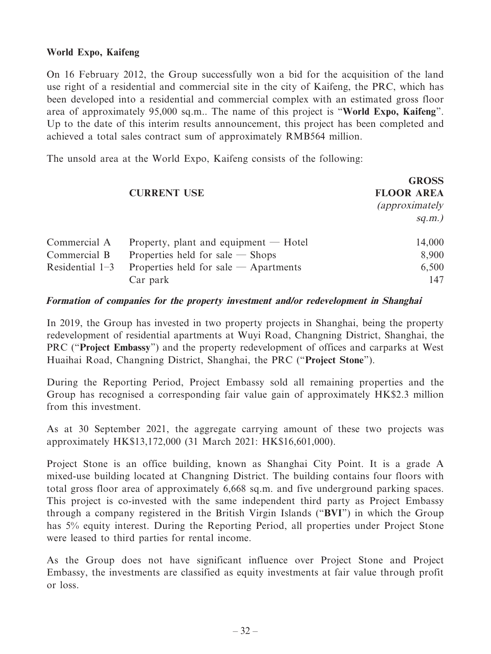## **World Expo, Kaifeng**

On 16 February 2012, the Group successfully won a bid for the acquisition of the land use right of a residential and commercial site in the city of Kaifeng, the PRC, which has been developed into a residential and commercial complex with an estimated gross floor area of approximately 95,000 sq.m.. The name of this project is "**World Expo, Kaifeng**". Up to the date of this interim results announcement, this project has been completed and achieved a total sales contract sum of approximately RMB564 million.

The unsold area at the World Expo, Kaifeng consists of the following:

|                   |                                         | <b>GROSS</b>           |
|-------------------|-----------------------------------------|------------------------|
|                   | <b>CURRENT USE</b>                      | <b>FLOOR AREA</b>      |
|                   |                                         | <i>(approximately)</i> |
|                   |                                         | $sq.m.$ )              |
| Commercial A      | Property, plant and equipment $-$ Hotel | 14,000                 |
| Commercial B      | Properties held for sale $-$ Shops      | 8,900                  |
| Residential $1-3$ | Properties held for sale $-$ Apartments | 6,500                  |
|                   | Car park                                | 147                    |

#### **Formation of companies for the property investment and/or redevelopment in Shanghai**

In 2019, the Group has invested in two property projects in Shanghai, being the property redevelopment of residential apartments at Wuyi Road, Changning District, Shanghai, the PRC ("**Project Embassy**") and the property redevelopment of offices and carparks at West Huaihai Road, Changning District, Shanghai, the PRC ("**Project Stone**").

During the Reporting Period, Project Embassy sold all remaining properties and the Group has recognised a corresponding fair value gain of approximately HK\$2.3 million from this investment.

As at 30 September 2021, the aggregate carrying amount of these two projects was approximately HK\$13,172,000 (31 March 2021: HK\$16,601,000).

Project Stone is an office building, known as Shanghai City Point. It is a grade A mixed-use building located at Changning District. The building contains four floors with total gross floor area of approximately 6,668 sq.m. and five underground parking spaces. This project is co-invested with the same independent third party as Project Embassy through a company registered in the British Virgin Islands ("**BVI**") in which the Group has 5% equity interest. During the Reporting Period, all properties under Project Stone were leased to third parties for rental income.

As the Group does not have significant influence over Project Stone and Project Embassy, the investments are classified as equity investments at fair value through profit or loss.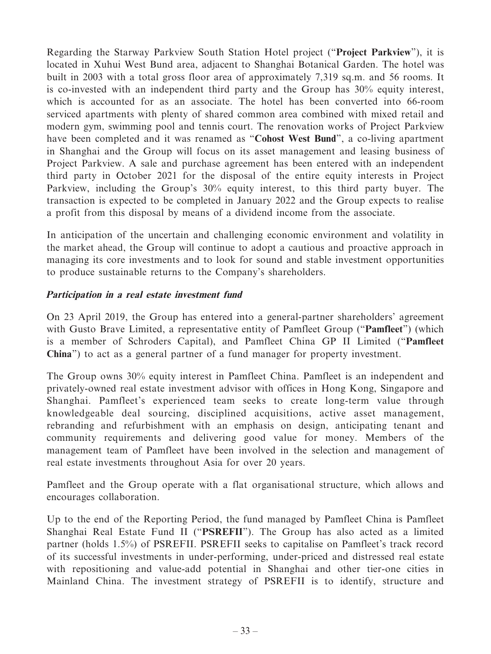Regarding the Starway Parkview South Station Hotel project ("**Project Parkview**"), it is located in Xuhui West Bund area, adjacent to Shanghai Botanical Garden. The hotel was built in 2003 with a total gross floor area of approximately 7,319 sq.m. and 56 rooms. It is co-invested with an independent third party and the Group has 30% equity interest, which is accounted for as an associate. The hotel has been converted into 66-room serviced apartments with plenty of shared common area combined with mixed retail and modern gym, swimming pool and tennis court. The renovation works of Project Parkview have been completed and it was renamed as "**Cohost West Bund**", a co-living apartment in Shanghai and the Group will focus on its asset management and leasing business of Project Parkview. A sale and purchase agreement has been entered with an independent third party in October 2021 for the disposal of the entire equity interests in Project Parkview, including the Group's 30% equity interest, to this third party buyer. The transaction is expected to be completed in January 2022 and the Group expects to realise a profit from this disposal by means of a dividend income from the associate.

In anticipation of the uncertain and challenging economic environment and volatility in the market ahead, the Group will continue to adopt a cautious and proactive approach in managing its core investments and to look for sound and stable investment opportunities to produce sustainable returns to the Company's shareholders.

## **Participation in a real estate investment fund**

On 23 April 2019, the Group has entered into a general-partner shareholders' agreement with Gusto Brave Limited, a representative entity of Pamfleet Group ("**Pamfleet**") (which is a member of Schroders Capital), and Pamfleet China GP II Limited ("**Pamfleet China**") to act as a general partner of a fund manager for property investment.

The Group owns 30% equity interest in Pamfleet China. Pamfleet is an independent and privately-owned real estate investment advisor with offices in Hong Kong, Singapore and Shanghai. Pamfleet's experienced team seeks to create long-term value through knowledgeable deal sourcing, disciplined acquisitions, active asset management, rebranding and refurbishment with an emphasis on design, anticipating tenant and community requirements and delivering good value for money. Members of the management team of Pamfleet have been involved in the selection and management of real estate investments throughout Asia for over 20 years.

Pamfleet and the Group operate with a flat organisational structure, which allows and encourages collaboration.

Up to the end of the Reporting Period, the fund managed by Pamfleet China is Pamfleet Shanghai Real Estate Fund II ("**PSREFII**"). The Group has also acted as a limited partner (holds 1.5%) of PSREFII. PSREFII seeks to capitalise on Pamfleet's track record of its successful investments in under-performing, under-priced and distressed real estate with repositioning and value-add potential in Shanghai and other tier-one cities in Mainland China. The investment strategy of PSREFII is to identify, structure and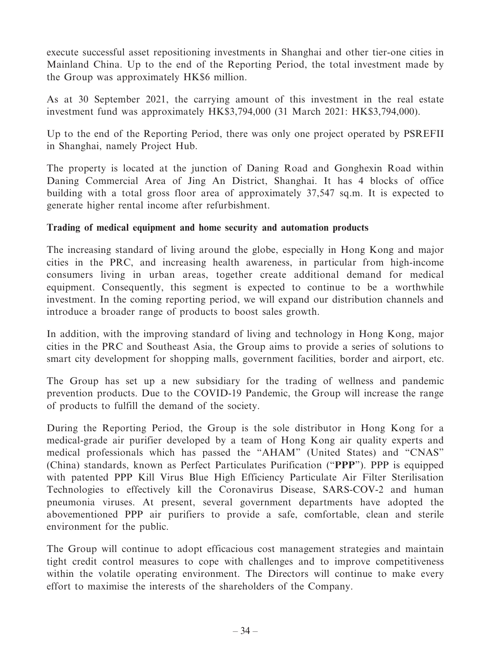execute successful asset repositioning investments in Shanghai and other tier-one cities in Mainland China. Up to the end of the Reporting Period, the total investment made by the Group was approximately HK\$6 million.

As at 30 September 2021, the carrying amount of this investment in the real estate investment fund was approximately HK\$3,794,000 (31 March 2021: HK\$3,794,000).

Up to the end of the Reporting Period, there was only one project operated by PSREFII in Shanghai, namely Project Hub.

The property is located at the junction of Daning Road and Gonghexin Road within Daning Commercial Area of Jing An District, Shanghai. It has 4 blocks of office building with a total gross floor area of approximately 37,547 sq.m. It is expected to generate higher rental income after refurbishment.

## **Trading of medical equipment and home security and automation products**

The increasing standard of living around the globe, especially in Hong Kong and major cities in the PRC, and increasing health awareness, in particular from high-income consumers living in urban areas, together create additional demand for medical equipment. Consequently, this segment is expected to continue to be a worthwhile investment. In the coming reporting period, we will expand our distribution channels and introduce a broader range of products to boost sales growth.

In addition, with the improving standard of living and technology in Hong Kong, major cities in the PRC and Southeast Asia, the Group aims to provide a series of solutions to smart city development for shopping malls, government facilities, border and airport, etc.

The Group has set up a new subsidiary for the trading of wellness and pandemic prevention products. Due to the COVID-19 Pandemic, the Group will increase the range of products to fulfill the demand of the society.

During the Reporting Period, the Group is the sole distributor in Hong Kong for a medical-grade air purifier developed by a team of Hong Kong air quality experts and medical professionals which has passed the "AHAM" (United States) and "CNAS" (China) standards, known as Perfect Particulates Purification ("**PPP**"). PPP is equipped with patented PPP Kill Virus Blue High Efficiency Particulate Air Filter Sterilisation Technologies to effectively kill the Coronavirus Disease, SARS-COV-2 and human pneumonia viruses. At present, several government departments have adopted the abovementioned PPP air purifiers to provide a safe, comfortable, clean and sterile environment for the public.

The Group will continue to adopt efficacious cost management strategies and maintain tight credit control measures to cope with challenges and to improve competitiveness within the volatile operating environment. The Directors will continue to make every effort to maximise the interests of the shareholders of the Company.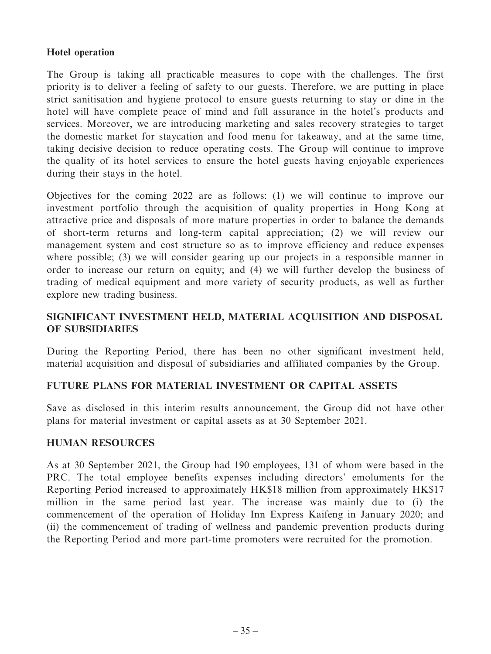## **Hotel operation**

The Group is taking all practicable measures to cope with the challenges. The first priority is to deliver a feeling of safety to our guests. Therefore, we are putting in place strict sanitisation and hygiene protocol to ensure guests returning to stay or dine in the hotel will have complete peace of mind and full assurance in the hotel's products and services. Moreover, we are introducing marketing and sales recovery strategies to target the domestic market for staycation and food menu for takeaway, and at the same time, taking decisive decision to reduce operating costs. The Group will continue to improve the quality of its hotel services to ensure the hotel guests having enjoyable experiences during their stays in the hotel.

Objectives for the coming 2022 are as follows: (1) we will continue to improve our investment portfolio through the acquisition of quality properties in Hong Kong at attractive price and disposals of more mature properties in order to balance the demands of short-term returns and long-term capital appreciation; (2) we will review our management system and cost structure so as to improve efficiency and reduce expenses where possible; (3) we will consider gearing up our projects in a responsible manner in order to increase our return on equity; and (4) we will further develop the business of trading of medical equipment and more variety of security products, as well as further explore new trading business.

## **SIGNIFICANT INVESTMENT HELD, MATERIAL ACQUISITION AND DISPOSAL OF SUBSIDIARIES**

During the Reporting Period, there has been no other significant investment held, material acquisition and disposal of subsidiaries and affiliated companies by the Group.

## **FUTURE PLANS FOR MATERIAL INVESTMENT OR CAPITAL ASSETS**

Save as disclosed in this interim results announcement, the Group did not have other plans for material investment or capital assets as at 30 September 2021.

## **HUMAN RESOURCES**

As at 30 September 2021, the Group had 190 employees, 131 of whom were based in the PRC. The total employee benefits expenses including directors' emoluments for the Reporting Period increased to approximately HK\$18 million from approximately HK\$17 million in the same period last year. The increase was mainly due to (i) the commencement of the operation of Holiday Inn Express Kaifeng in January 2020; and (ii) the commencement of trading of wellness and pandemic prevention products during the Reporting Period and more part-time promoters were recruited for the promotion.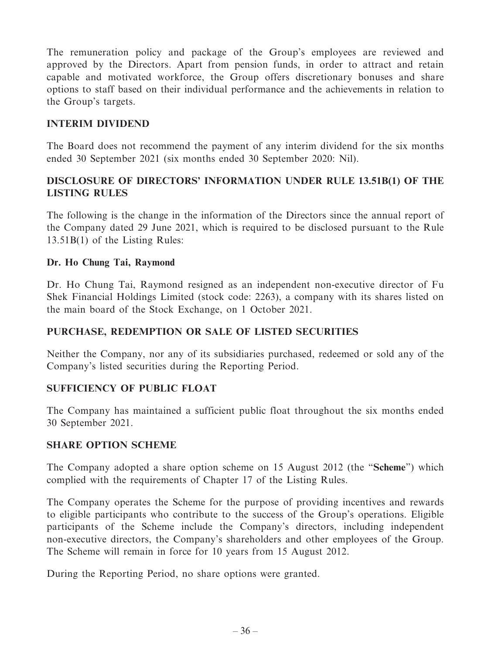The remuneration policy and package of the Group's employees are reviewed and approved by the Directors. Apart from pension funds, in order to attract and retain capable and motivated workforce, the Group offers discretionary bonuses and share options to staff based on their individual performance and the achievements in relation to the Group's targets.

## **INTERIM DIVIDEND**

The Board does not recommend the payment of any interim dividend for the six months ended 30 September 2021 (six months ended 30 September 2020: Nil).

## **DISCLOSURE OF DIRECTORS' INFORMATION UNDER RULE 13.51B(1) OF THE LISTING RULES**

The following is the change in the information of the Directors since the annual report of the Company dated 29 June 2021, which is required to be disclosed pursuant to the Rule 13.51B(1) of the Listing Rules:

## **Dr. Ho Chung Tai, Raymond**

Dr. Ho Chung Tai, Raymond resigned as an independent non-executive director of Fu Shek Financial Holdings Limited (stock code: 2263), a company with its shares listed on the main board of the Stock Exchange, on 1 October 2021.

## **PURCHASE, REDEMPTION OR SALE OF LISTED SECURITIES**

Neither the Company, nor any of its subsidiaries purchased, redeemed or sold any of the Company's listed securities during the Reporting Period.

## **SUFFICIENCY OF PUBLIC FLOAT**

The Company has maintained a sufficient public float throughout the six months ended 30 September 2021.

## **SHARE OPTION SCHEME**

The Company adopted a share option scheme on 15 August 2012 (the "**Scheme**") which complied with the requirements of Chapter 17 of the Listing Rules.

The Company operates the Scheme for the purpose of providing incentives and rewards to eligible participants who contribute to the success of the Group's operations. Eligible participants of the Scheme include the Company's directors, including independent non-executive directors, the Company's shareholders and other employees of the Group. The Scheme will remain in force for 10 years from 15 August 2012.

During the Reporting Period, no share options were granted.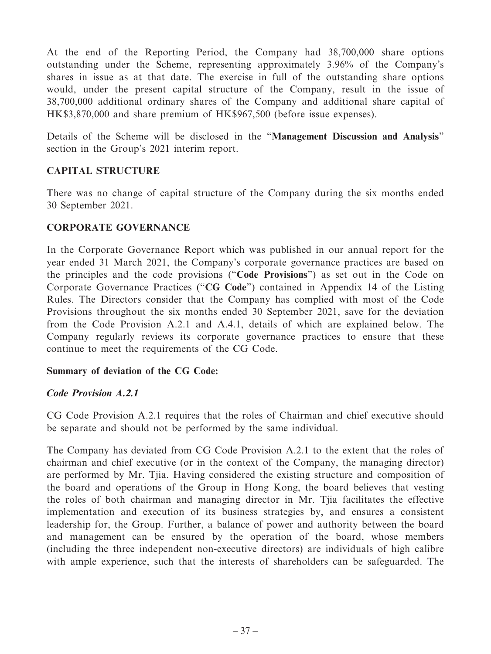At the end of the Reporting Period, the Company had 38,700,000 share options outstanding under the Scheme, representing approximately 3.96% of the Company's shares in issue as at that date. The exercise in full of the outstanding share options would, under the present capital structure of the Company, result in the issue of 38,700,000 additional ordinary shares of the Company and additional share capital of HK\$3,870,000 and share premium of HK\$967,500 (before issue expenses).

Details of the Scheme will be disclosed in the "**Management Discussion and Analysis**" section in the Group's 2021 interim report.

## **CAPITAL STRUCTURE**

There was no change of capital structure of the Company during the six months ended 30 September 2021.

## **CORPORATE GOVERNANCE**

In the Corporate Governance Report which was published in our annual report for the year ended 31 March 2021, the Company's corporate governance practices are based on the principles and the code provisions ("**Code Provisions**") as set out in the Code on Corporate Governance Practices ("**CG Code**") contained in Appendix 14 of the Listing Rules. The Directors consider that the Company has complied with most of the Code Provisions throughout the six months ended 30 September 2021, save for the deviation from the Code Provision A.2.1 and A.4.1, details of which are explained below. The Company regularly reviews its corporate governance practices to ensure that these continue to meet the requirements of the CG Code.

## **Summary of deviation of the CG Code:**

## **Code Provision A.2.1**

CG Code Provision A.2.1 requires that the roles of Chairman and chief executive should be separate and should not be performed by the same individual.

The Company has deviated from CG Code Provision A.2.1 to the extent that the roles of chairman and chief executive (or in the context of the Company, the managing director) are performed by Mr. Tjia. Having considered the existing structure and composition of the board and operations of the Group in Hong Kong, the board believes that vesting the roles of both chairman and managing director in Mr. Tjia facilitates the effective implementation and execution of its business strategies by, and ensures a consistent leadership for, the Group. Further, a balance of power and authority between the board and management can be ensured by the operation of the board, whose members (including the three independent non-executive directors) are individuals of high calibre with ample experience, such that the interests of shareholders can be safeguarded. The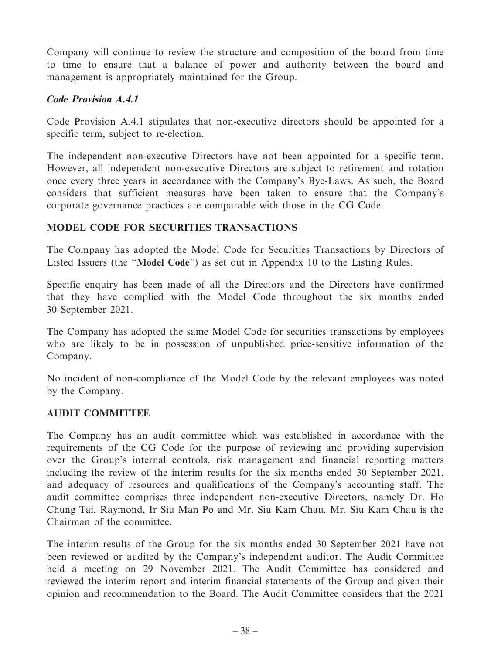Company will continue to review the structure and composition of the board from time to time to ensure that a balance of power and authority between the board and management is appropriately maintained for the Group.

## **Code Provision A.4.1**

Code Provision A.4.1 stipulates that non-executive directors should be appointed for a specific term, subject to re-election.

The independent non-executive Directors have not been appointed for a specific term. However, all independent non-executive Directors are subject to retirement and rotation once every three years in accordance with the Company's Bye-Laws. As such, the Board considers that sufficient measures have been taken to ensure that the Company's corporate governance practices are comparable with those in the CG Code.

## **MODEL CODE FOR SECURITIES TRANSACTIONS**

The Company has adopted the Model Code for Securities Transactions by Directors of Listed Issuers (the "**Model Code**") as set out in Appendix 10 to the Listing Rules.

Specific enquiry has been made of all the Directors and the Directors have confirmed that they have complied with the Model Code throughout the six months ended 30 September 2021.

The Company has adopted the same Model Code for securities transactions by employees who are likely to be in possession of unpublished price-sensitive information of the Company.

No incident of non-compliance of the Model Code by the relevant employees was noted by the Company.

## **AUDIT COMMITTEE**

The Company has an audit committee which was established in accordance with the requirements of the CG Code for the purpose of reviewing and providing supervision over the Group's internal controls, risk management and financial reporting matters including the review of the interim results for the six months ended 30 September 2021, and adequacy of resources and qualifications of the Company's accounting staff. The audit committee comprises three independent non-executive Directors, namely Dr. Ho Chung Tai, Raymond, Ir Siu Man Po and Mr. Siu Kam Chau. Mr. Siu Kam Chau is the Chairman of the committee.

The interim results of the Group for the six months ended 30 September 2021 have not been reviewed or audited by the Company's independent auditor. The Audit Committee held a meeting on 29 November 2021. The Audit Committee has considered and reviewed the interim report and interim financial statements of the Group and given their opinion and recommendation to the Board. The Audit Committee considers that the 2021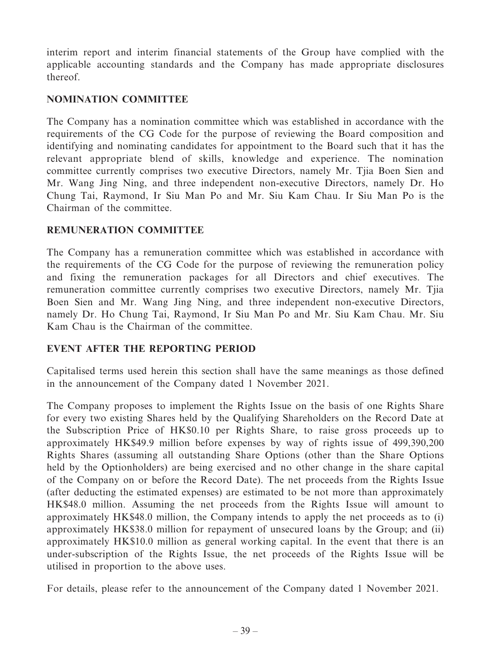interim report and interim financial statements of the Group have complied with the applicable accounting standards and the Company has made appropriate disclosures thereof.

## **NOMINATION COMMITTEE**

The Company has a nomination committee which was established in accordance with the requirements of the CG Code for the purpose of reviewing the Board composition and identifying and nominating candidates for appointment to the Board such that it has the relevant appropriate blend of skills, knowledge and experience. The nomination committee currently comprises two executive Directors, namely Mr. Tjia Boen Sien and Mr. Wang Jing Ning, and three independent non-executive Directors, namely Dr. Ho Chung Tai, Raymond, Ir Siu Man Po and Mr. Siu Kam Chau. Ir Siu Man Po is the Chairman of the committee.

## **REMUNERATION COMMITTEE**

The Company has a remuneration committee which was established in accordance with the requirements of the CG Code for the purpose of reviewing the remuneration policy and fixing the remuneration packages for all Directors and chief executives. The remuneration committee currently comprises two executive Directors, namely Mr. Tjia Boen Sien and Mr. Wang Jing Ning, and three independent non-executive Directors, namely Dr. Ho Chung Tai, Raymond, Ir Siu Man Po and Mr. Siu Kam Chau. Mr. Siu Kam Chau is the Chairman of the committee.

## **EVENT AFTER THE REPORTING PERIOD**

Capitalised terms used herein this section shall have the same meanings as those defined in the announcement of the Company dated 1 November 2021.

The Company proposes to implement the Rights Issue on the basis of one Rights Share for every two existing Shares held by the Qualifying Shareholders on the Record Date at the Subscription Price of HK\$0.10 per Rights Share, to raise gross proceeds up to approximately HK\$49.9 million before expenses by way of rights issue of 499,390,200 Rights Shares (assuming all outstanding Share Options (other than the Share Options held by the Optionholders) are being exercised and no other change in the share capital of the Company on or before the Record Date). The net proceeds from the Rights Issue (after deducting the estimated expenses) are estimated to be not more than approximately HK\$48.0 million. Assuming the net proceeds from the Rights Issue will amount to approximately HK\$48.0 million, the Company intends to apply the net proceeds as to (i) approximately HK\$38.0 million for repayment of unsecured loans by the Group; and (ii) approximately HK\$10.0 million as general working capital. In the event that there is an under-subscription of the Rights Issue, the net proceeds of the Rights Issue will be utilised in proportion to the above uses.

For details, please refer to the announcement of the Company dated 1 November 2021.